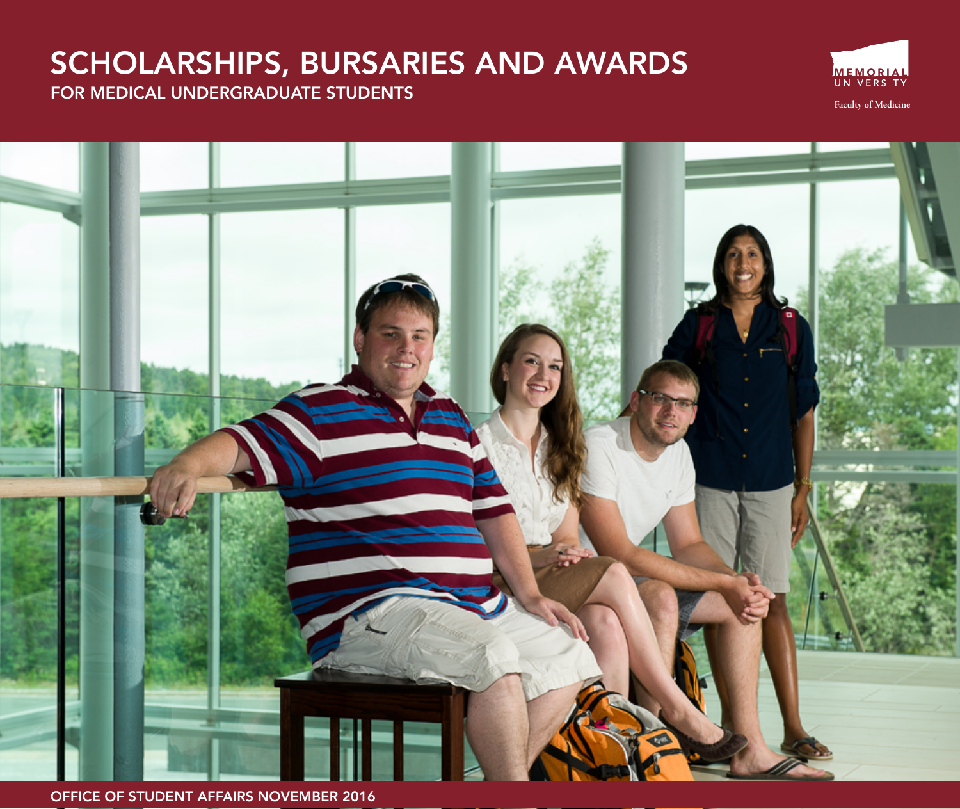# SCHOLARSHIPS, BURSARIES AND AWARDS FOR MEDICAL UNDERGRADUATE STUDENTS



**Faculty of Medicine**

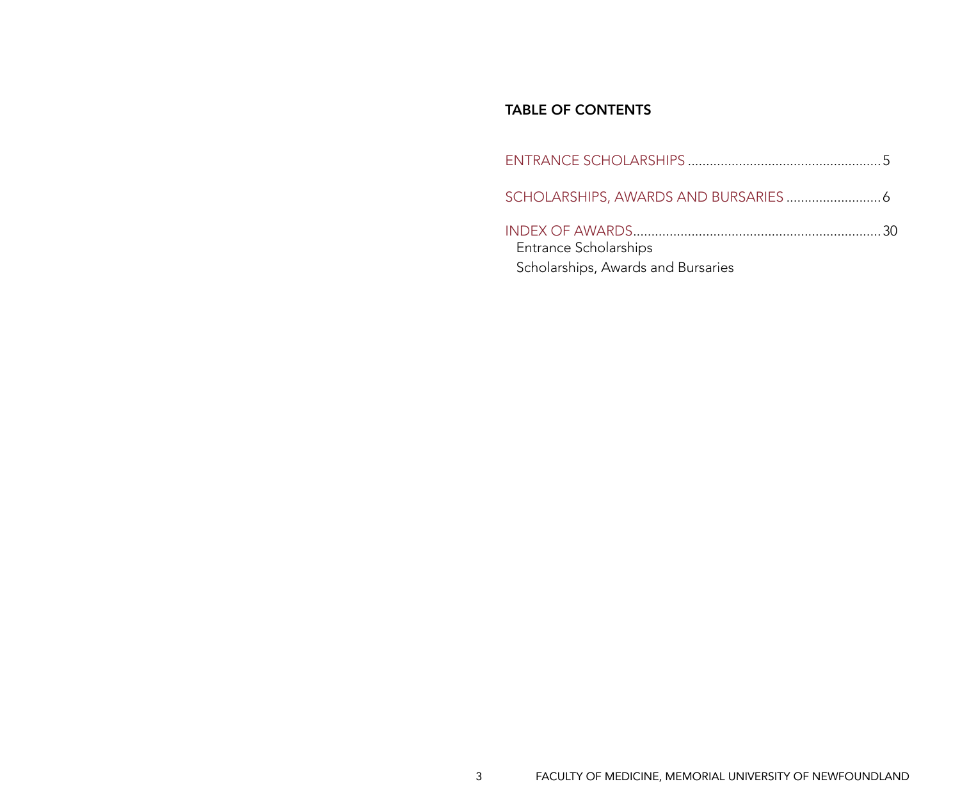### TABLE OF CONTENTS

| Entrance Scholarships<br>Scholarships, Awards and Bursaries |  |
|-------------------------------------------------------------|--|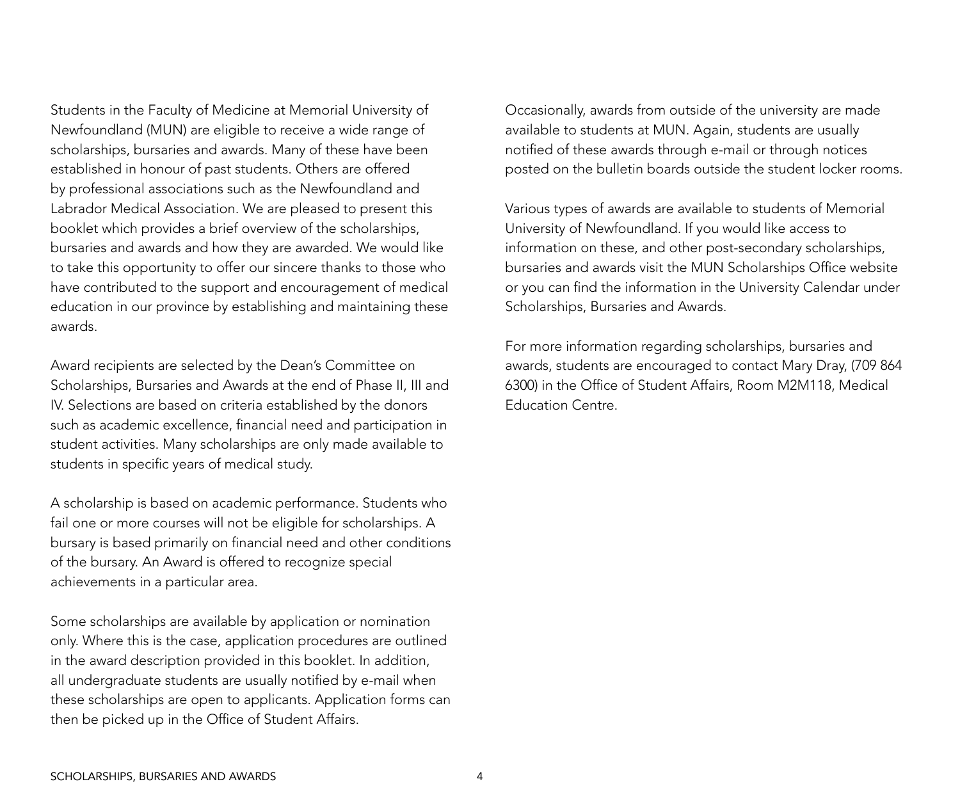Students in the Faculty of Medicine at Memorial University of Newfoundland (MUN) are eligible to receive a wide range of scholarships, bursaries and awards. Many of these have been established in honour of past students. Others are offered by professional associations such as the Newfoundland and Labrador Medical Association. We are pleased to present this booklet which provides a brief overview of the scholarships, bursaries and awards and how they are awarded. We would like to take this opportunity to offer our sincere thanks to those who have contributed to the support and encouragement of medical education in our province by establishing and maintaining these awards.

Award recipients are selected by the Dean's Committee on Scholarships, Bursaries and Awards at the end of Phase II, III and IV. Selections are based on criteria established by the donors such as academic excellence, financial need and participation in student activities. Many scholarships are only made available to students in specific years of medical study.

A scholarship is based on academic performance. Students who fail one or more courses will not be eligible for scholarships. A bursary is based primarily on financial need and other conditions of the bursary. An Award is offered to recognize special achievements in a particular area.

Some scholarships are available by application or nomination only. Where this is the case, application procedures are outlined in the award description provided in this booklet. In addition, all undergraduate students are usually notified by e-mail when these scholarships are open to applicants. Application forms can then be picked up in the Office of Student Affairs.

Occasionally, awards from outside of the university are made available to students at MUN. Again, students are usually notified of these awards through e-mail or through notices posted on the bulletin boards outside the student locker rooms.

Various types of awards are available to students of Memorial University of Newfoundland. If you would like access to information on these, and other post-secondary scholarships, bursaries and awards visit the MUN Scholarships Office website or you can find the information in the University Calendar under Scholarships, Bursaries and Awards.

For more information regarding scholarships, bursaries and awards, students are encouraged to contact Mary Dray, (709 864 6300) in the Office of Student Affairs, Room M2M118, Medical Education Centre.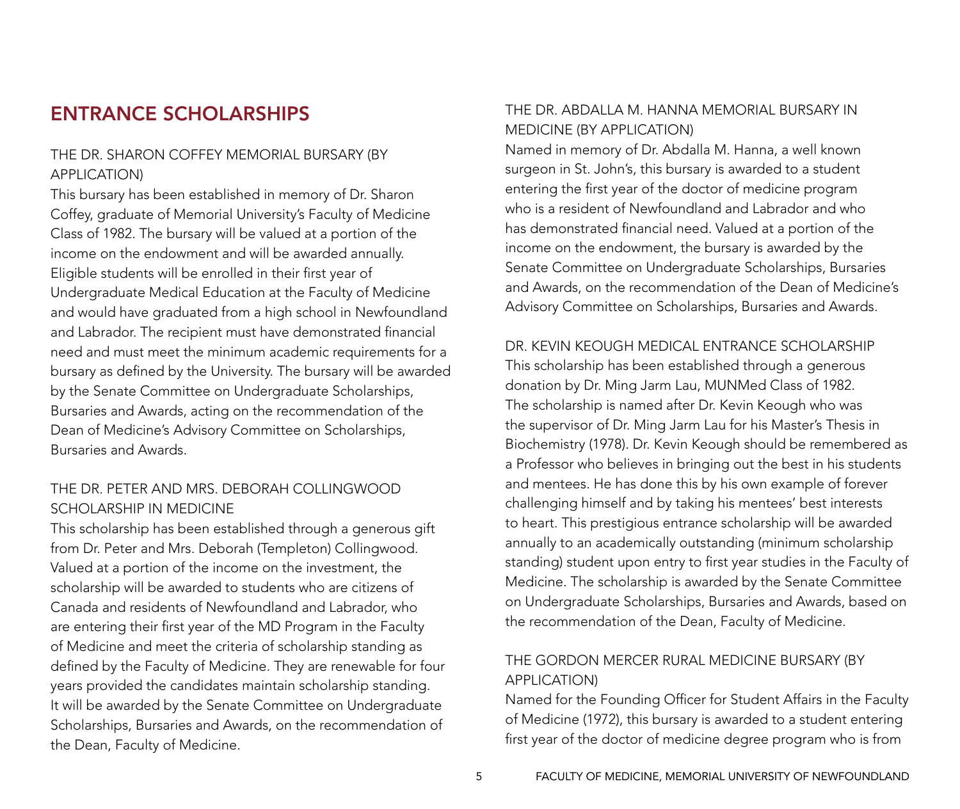## ENTRANCE SCHOLARSHIPS

### The Dr. Sharon Coffey Memorial Bursary (By application)

This bursary has been established in memory of Dr. Sharon Coffey, graduate of Memorial University's Faculty of Medicine Class of 1982. The bursary will be valued at a portion of the income on the endowment and will be awarded annually. Eligible students will be enrolled in their first year of Undergraduate Medical Education at the Faculty of Medicine and would have graduated from a high school in Newfoundland and Labrador. The recipient must have demonstrated financial need and must meet the minimum academic requirements for a bursary as defined by the University. The bursary will be awarded by the Senate Committee on Undergraduate Scholarships, Bursaries and Awards, acting on the recommendation of the Dean of Medicine's Advisory Committee on Scholarships, Bursaries and Awards.

### The Dr. Peter and Mrs. Deborah Collingwood SCHOLARSHIP IN MEDICINE

This scholarship has been established through a generous gift from Dr. Peter and Mrs. Deborah (Templeton) Collingwood. Valued at a portion of the income on the investment, the scholarship will be awarded to students who are citizens of Canada and residents of Newfoundland and Labrador, who are entering their first year of the MD Program in the Faculty of Medicine and meet the criteria of scholarship standing as defined by the Faculty of Medicine. They are renewable for four years provided the candidates maintain scholarship standing. It will be awarded by the Senate Committee on Undergraduate Scholarships, Bursaries and Awards, on the recommendation of the Dean, Faculty of Medicine.

### The Dr. Abdalla M. Hanna Memorial Bursary in Medicine (By application)

Named in memory of Dr. Abdalla M. Hanna, a well known surgeon in St. John's, this bursary is awarded to a student entering the first year of the doctor of medicine program who is a resident of Newfoundland and Labrador and who has demonstrated financial need. Valued at a portion of the income on the endowment, the bursary is awarded by the Senate Committee on Undergraduate Scholarships, Bursaries and Awards, on the recommendation of the Dean of Medicine's Advisory Committee on Scholarships, Bursaries and Awards.

#### Dr. Kevin Keough Medical Entrance Scholarship

This scholarship has been established through a generous donation by Dr. Ming Jarm Lau, MUNMed Class of 1982. The scholarship is named after Dr. Kevin Keough who was the supervisor of Dr. Ming Jarm Lau for his Master's Thesis in Biochemistry (1978). Dr. Kevin Keough should be remembered as a Professor who believes in bringing out the best in his students and mentees. He has done this by his own example of forever challenging himself and by taking his mentees' best interests to heart. This prestigious entrance scholarship will be awarded annually to an academically outstanding (minimum scholarship standing) student upon entry to first year studies in the Faculty of Medicine. The scholarship is awarded by the Senate Committee on Undergraduate Scholarships, Bursaries and Awards, based on the recommendation of the Dean, Faculty of Medicine.

### The Gordon Mercer Rural Medicine Bursary (By application)

Named for the Founding Officer for Student Affairs in the Faculty of Medicine (1972), this bursary is awarded to a student entering first year of the doctor of medicine degree program who is from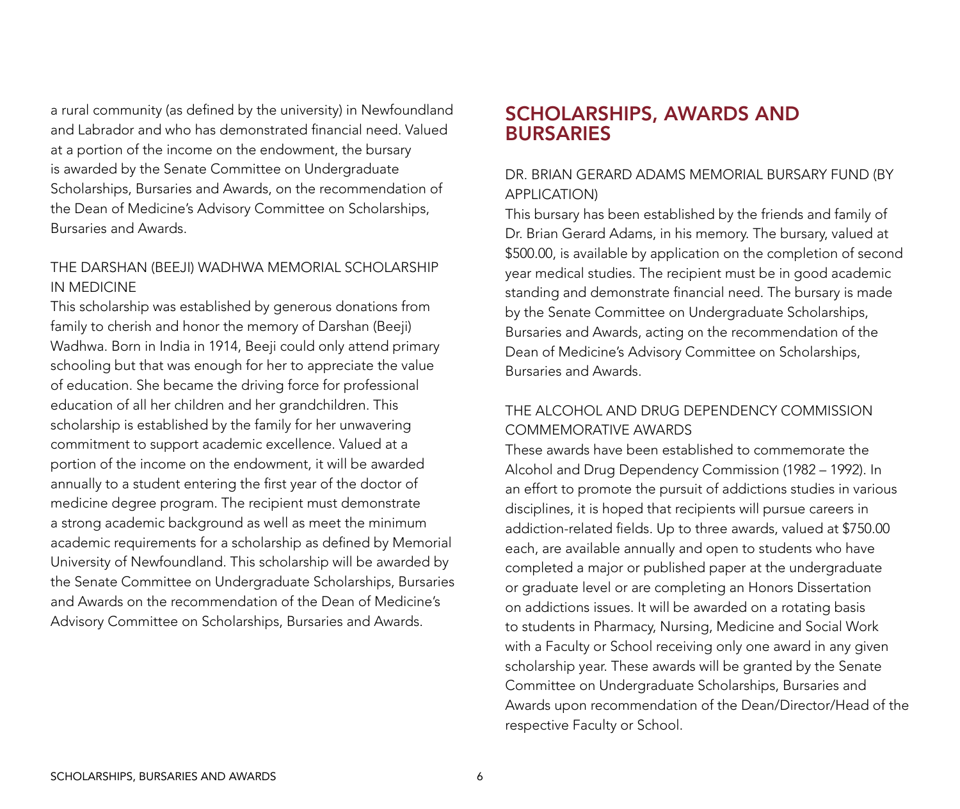a rural community (as defined by the university) in Newfoundland and Labrador and who has demonstrated financial need. Valued at a portion of the income on the endowment, the bursary is awarded by the Senate Committee on Undergraduate Scholarships, Bursaries and Awards, on the recommendation of the Dean of Medicine's Advisory Committee on Scholarships, Bursaries and Awards.

### The Darshan (Beeji) Wadhwa Memorial Scholarship in Medicine

This scholarship was established by generous donations from family to cherish and honor the memory of Darshan (Beeji) Wadhwa. Born in India in 1914, Beeji could only attend primary schooling but that was enough for her to appreciate the value of education. She became the driving force for professional education of all her children and her grandchildren. This scholarship is established by the family for her unwavering commitment to support academic excellence. Valued at a portion of the income on the endowment, it will be awarded annually to a student entering the first year of the doctor of medicine degree program. The recipient must demonstrate a strong academic background as well as meet the minimum academic requirements for a scholarship as defined by Memorial University of Newfoundland. This scholarship will be awarded by the Senate Committee on Undergraduate Scholarships, Bursaries and Awards on the recommendation of the Dean of Medicine's Advisory Committee on Scholarships, Bursaries and Awards.

## SCHOLARSHIPS, AWARDS AND **BURSARIES**

### DR. BRIAN GERARD ADAMS MEMORIAL BURSARY FUND (By application)

This bursary has been established by the friends and family of Dr. Brian Gerard Adams, in his memory. The bursary, valued at \$500.00, is available by application on the completion of second year medical studies. The recipient must be in good academic standing and demonstrate financial need. The bursary is made by the Senate Committee on Undergraduate Scholarships, Bursaries and Awards, acting on the recommendation of the Dean of Medicine's Advisory Committee on Scholarships, Bursaries and Awards.

### THE ALCOHOL AND DRUG DEPENDENCY COMMISSION COMMEMORATIVE AWARDS

These awards have been established to commemorate the Alcohol and Drug Dependency Commission (1982 – 1992). In an effort to promote the pursuit of addictions studies in various disciplines, it is hoped that recipients will pursue careers in addiction-related fields. Up to three awards, valued at \$750.00 each, are available annually and open to students who have completed a major or published paper at the undergraduate or graduate level or are completing an Honors Dissertation on addictions issues. It will be awarded on a rotating basis to students in Pharmacy, Nursing, Medicine and Social Work with a Faculty or School receiving only one award in any given scholarship year. These awards will be granted by the Senate Committee on Undergraduate Scholarships, Bursaries and Awards upon recommendation of the Dean/Director/Head of the respective Faculty or School.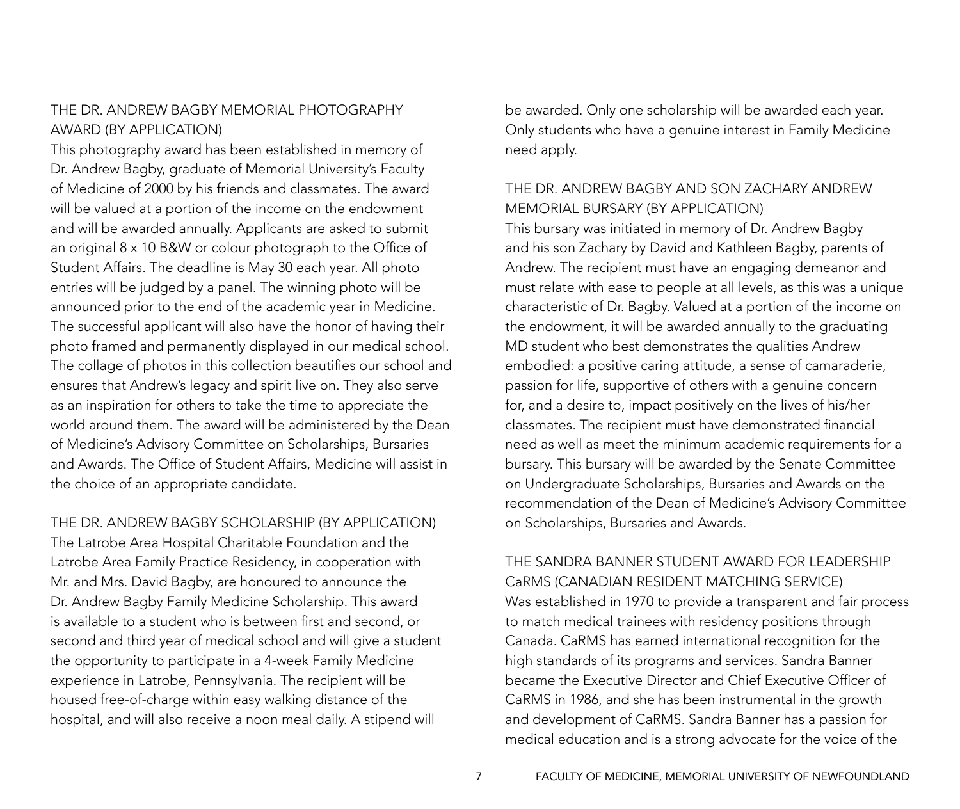### THE DR. ANDREW BAGBY MEMORIAL PHOTOGRAPHY AWARD (By Application)

This photography award has been established in memory of Dr. Andrew Bagby, graduate of Memorial University's Faculty of Medicine of 2000 by his friends and classmates. The award will be valued at a portion of the income on the endowment and will be awarded annually. Applicants are asked to submit an original 8 x 10 B&W or colour photograph to the Office of Student Affairs. The deadline is May 30 each year. All photo entries will be judged by a panel. The winning photo will be announced prior to the end of the academic year in Medicine. The successful applicant will also have the honor of having their photo framed and permanently displayed in our medical school. The collage of photos in this collection beautifies our school and ensures that Andrew's legacy and spirit live on. They also serve as an inspiration for others to take the time to appreciate the world around them. The award will be administered by the Dean of Medicine's Advisory Committee on Scholarships, Bursaries and Awards. The Office of Student Affairs, Medicine will assist in the choice of an appropriate candidate.

#### THE DR. ANDREW BAGBY SCHOLARSHIP (By Application)

The Latrobe Area Hospital Charitable Foundation and the Latrobe Area Family Practice Residency, in cooperation with Mr. and Mrs. David Bagby, are honoured to announce the Dr. Andrew Bagby Family Medicine Scholarship. This award is available to a student who is between first and second, or second and third year of medical school and will give a student the opportunity to participate in a 4-week Family Medicine experience in Latrobe, Pennsylvania. The recipient will be housed free-of-charge within easy walking distance of the hospital, and will also receive a noon meal daily. A stipend will

be awarded. Only one scholarship will be awarded each year. Only students who have a genuine interest in Family Medicine need apply.

### THE DR. ANDREW BAGBY AND SON ZACHARY ANDREW MEMORIAL BURSARY (By application)

This bursary was initiated in memory of Dr. Andrew Bagby and his son Zachary by David and Kathleen Bagby, parents of Andrew. The recipient must have an engaging demeanor and must relate with ease to people at all levels, as this was a unique characteristic of Dr. Bagby. Valued at a portion of the income on the endowment, it will be awarded annually to the graduating MD student who best demonstrates the qualities Andrew embodied: a positive caring attitude, a sense of camaraderie, passion for life, supportive of others with a genuine concern for, and a desire to, impact positively on the lives of his/her classmates. The recipient must have demonstrated financial need as well as meet the minimum academic requirements for a bursary. This bursary will be awarded by the Senate Committee on Undergraduate Scholarships, Bursaries and Awards on the recommendation of the Dean of Medicine's Advisory Committee on Scholarships, Bursaries and Awards.

### THE SANDRA BANNER STUDENT AWARD FOR LEADERSHIP CaRMS (Canadian Resident Matching Service)

Was established in 1970 to provide a transparent and fair process to match medical trainees with residency positions through Canada. CaRMS has earned international recognition for the high standards of its programs and services. Sandra Banner became the Executive Director and Chief Executive Officer of CaRMS in 1986, and she has been instrumental in the growth and development of CaRMS. Sandra Banner has a passion for medical education and is a strong advocate for the voice of the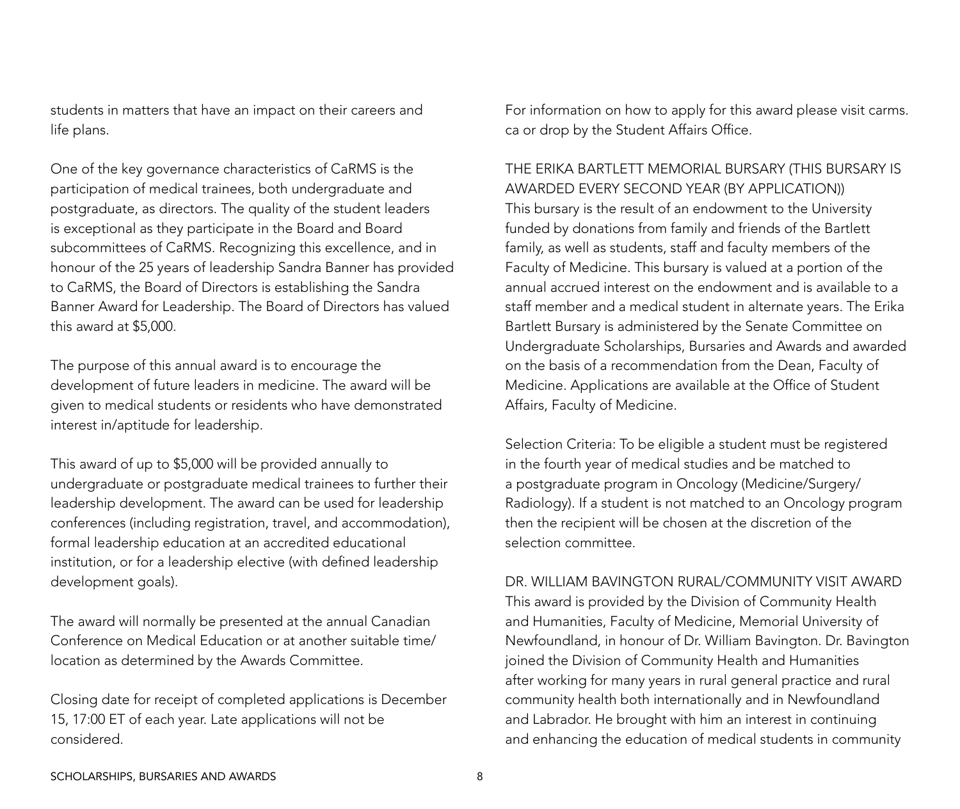students in matters that have an impact on their careers and life plans.

One of the key governance characteristics of CaRMS is the participation of medical trainees, both undergraduate and postgraduate, as directors. The quality of the student leaders is exceptional as they participate in the Board and Board subcommittees of CaRMS. Recognizing this excellence, and in honour of the 25 years of leadership Sandra Banner has provided to CaRMS, the Board of Directors is establishing the Sandra Banner Award for Leadership. The Board of Directors has valued this award at \$5,000.

The purpose of this annual award is to encourage the development of future leaders in medicine. The award will be given to medical students or residents who have demonstrated interest in/aptitude for leadership.

This award of up to \$5,000 will be provided annually to undergraduate or postgraduate medical trainees to further their leadership development. The award can be used for leadership conferences (including registration, travel, and accommodation), formal leadership education at an accredited educational institution, or for a leadership elective (with defined leadership development goals).

The award will normally be presented at the annual Canadian Conference on Medical Education or at another suitable time/ location as determined by the Awards Committee.

Closing date for receipt of completed applications is December 15, 17:00 ET of each year. Late applications will not be considered.

For information on how to apply for this award please visit carms. ca or drop by the Student Affairs Office.

### THE ERIKA BARTLETT MEMORIAL BURSARY (This bursary is awarded every second year (by application))

This bursary is the result of an endowment to the University funded by donations from family and friends of the Bartlett family, as well as students, staff and faculty members of the Faculty of Medicine. This bursary is valued at a portion of the annual accrued interest on the endowment and is available to a staff member and a medical student in alternate years. The Erika Bartlett Bursary is administered by the Senate Committee on Undergraduate Scholarships, Bursaries and Awards and awarded on the basis of a recommendation from the Dean, Faculty of Medicine. Applications are available at the Office of Student Affairs, Faculty of Medicine.

Selection Criteria: To be eligible a student must be registered in the fourth year of medical studies and be matched to a postgraduate program in Oncology (Medicine/Surgery/ Radiology). If a student is not matched to an Oncology program then the recipient will be chosen at the discretion of the selection committee.

#### Dr. William Bavington Rural/Community Visit Award

This award is provided by the Division of Community Health and Humanities, Faculty of Medicine, Memorial University of Newfoundland, in honour of Dr. William Bavington. Dr. Bavington joined the Division of Community Health and Humanities after working for many years in rural general practice and rural community health both internationally and in Newfoundland and Labrador. He brought with him an interest in continuing and enhancing the education of medical students in community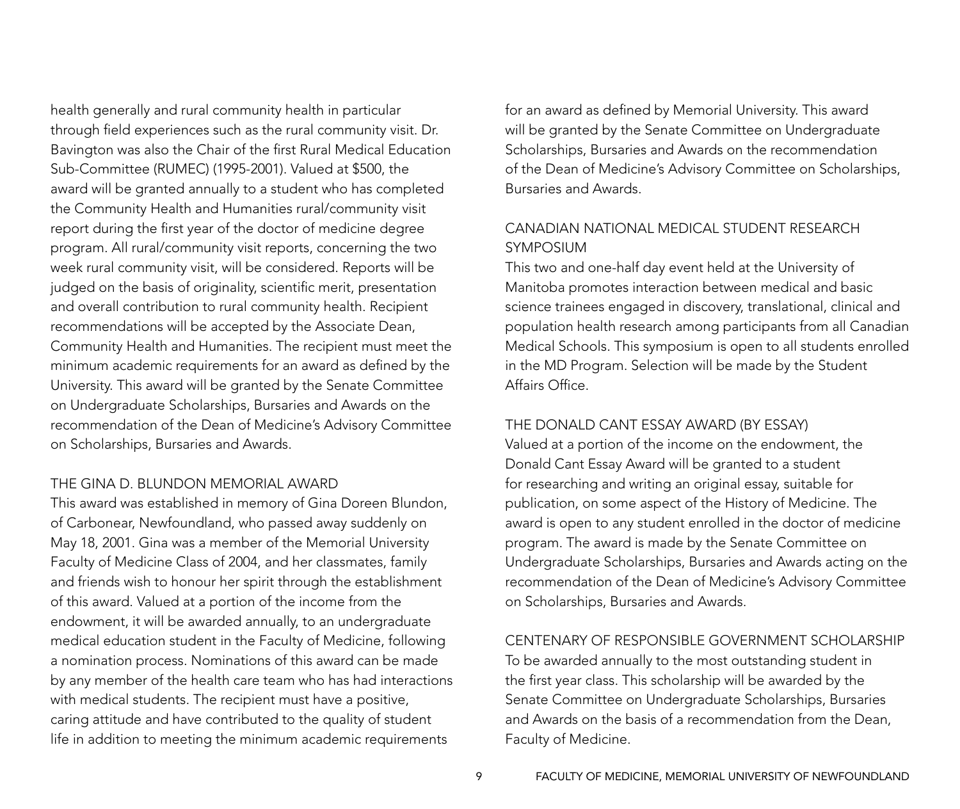health generally and rural community health in particular through field experiences such as the rural community visit. Dr. Bavington was also the Chair of the first Rural Medical Education Sub-Committee (RUMEC) (1995-2001). Valued at \$500, the award will be granted annually to a student who has completed the Community Health and Humanities rural/community visit report during the first year of the doctor of medicine degree program. All rural/community visit reports, concerning the two week rural community visit, will be considered. Reports will be judged on the basis of originality, scientific merit, presentation and overall contribution to rural community health. Recipient recommendations will be accepted by the Associate Dean, Community Health and Humanities. The recipient must meet the minimum academic requirements for an award as defined by the University. This award will be granted by the Senate Committee on Undergraduate Scholarships, Bursaries and Awards on the recommendation of the Dean of Medicine's Advisory Committee on Scholarships, Bursaries and Awards.

#### THE GINA D. BLUNDON MEMORIAL AWARD

This award was established in memory of Gina Doreen Blundon, of Carbonear, Newfoundland, who passed away suddenly on May 18, 2001. Gina was a member of the Memorial University Faculty of Medicine Class of 2004, and her classmates, family and friends wish to honour her spirit through the establishment of this award. Valued at a portion of the income from the endowment, it will be awarded annually, to an undergraduate medical education student in the Faculty of Medicine, following a nomination process. Nominations of this award can be made by any member of the health care team who has had interactions with medical students. The recipient must have a positive, caring attitude and have contributed to the quality of student life in addition to meeting the minimum academic requirements

for an award as defined by Memorial University. This award will be granted by the Senate Committee on Undergraduate Scholarships, Bursaries and Awards on the recommendation of the Dean of Medicine's Advisory Committee on Scholarships, Bursaries and Awards.

### CANADIAN NATIONAL MEDICAL STUDENT RESEARCH SYMPOSIUM

This two and one-half day event held at the University of Manitoba promotes interaction between medical and basic science trainees engaged in discovery, translational, clinical and population health research among participants from all Canadian Medical Schools. This symposium is open to all students enrolled in the MD Program. Selection will be made by the Student Affairs Office.

#### THE DONALD CANT ESSAY AWARD (By Essay)

Valued at a portion of the income on the endowment, the Donald Cant Essay Award will be granted to a student for researching and writing an original essay, suitable for publication, on some aspect of the History of Medicine. The award is open to any student enrolled in the doctor of medicine program. The award is made by the Senate Committee on Undergraduate Scholarships, Bursaries and Awards acting on the recommendation of the Dean of Medicine's Advisory Committee on Scholarships, Bursaries and Awards.

#### CENTENARY OF RESPONSIBLE GOVERNMENT SCHOLARSHIP

To be awarded annually to the most outstanding student in the first year class. This scholarship will be awarded by the Senate Committee on Undergraduate Scholarships, Bursaries and Awards on the basis of a recommendation from the Dean, Faculty of Medicine.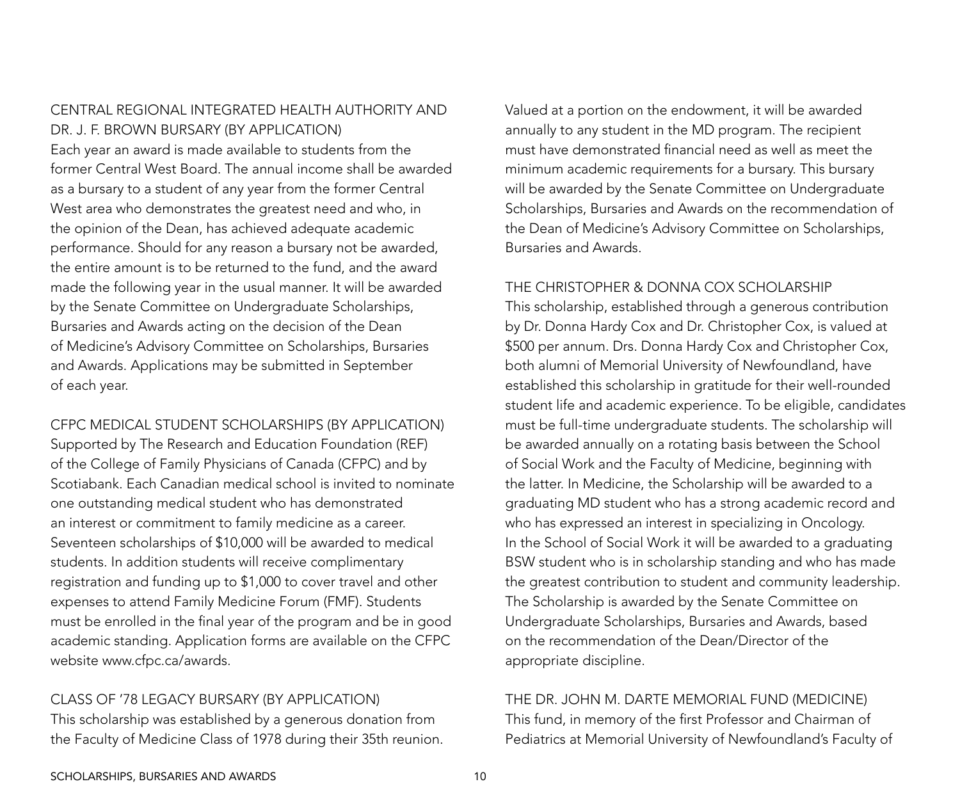### CENTRAL REGIONAL INTEGRATED HEALTH AUTHORITY AND DR. J. F. BROWN BURSARY (By Application)

Each year an award is made available to students from the former Central West Board. The annual income shall be awarded as a bursary to a student of any year from the former Central West area who demonstrates the greatest need and who, in the opinion of the Dean, has achieved adequate academic performance. Should for any reason a bursary not be awarded, the entire amount is to be returned to the fund, and the award made the following year in the usual manner. It will be awarded by the Senate Committee on Undergraduate Scholarships, Bursaries and Awards acting on the decision of the Dean of Medicine's Advisory Committee on Scholarships, Bursaries and Awards. Applications may be submitted in September of each year.

CFPC MEDICAL STUDENT SCHOLARSHIPS (By Application) Supported by The Research and Education Foundation (REF) of the College of Family Physicians of Canada (CFPC) and by Scotiabank. Each Canadian medical school is invited to nominate one outstanding medical student who has demonstrated an interest or commitment to family medicine as a career. Seventeen scholarships of \$10,000 will be awarded to medical students. In addition students will receive complimentary registration and funding up to \$1,000 to cover travel and other expenses to attend Family Medicine Forum (FMF). Students must be enrolled in the final year of the program and be in good academic standing. Application forms are available on the CFPC website [www.cfpc.ca/awards.](http://www.cfpc.ca/awards)

CLASS OF '78 LEGACY BURSARY (By Application) This scholarship was established by a generous donation from the Faculty of Medicine Class of 1978 during their 35th reunion. Valued at a portion on the endowment, it will be awarded annually to any student in the MD program. The recipient must have demonstrated financial need as well as meet the minimum academic requirements for a bursary. This bursary will be awarded by the Senate Committee on Undergraduate Scholarships, Bursaries and Awards on the recommendation of the Dean of Medicine's Advisory Committee on Scholarships, Bursaries and Awards.

#### THE CHRISTOPHER & DONNA COX SCHOLARSHIP

This scholarship, established through a generous contribution by Dr. Donna Hardy Cox and Dr. Christopher Cox, is valued at \$500 per annum. Drs. Donna Hardy Cox and Christopher Cox, both alumni of Memorial University of Newfoundland, have established this scholarship in gratitude for their well-rounded student life and academic experience. To be eligible, candidates must be full-time undergraduate students. The scholarship will be awarded annually on a rotating basis between the School of Social Work and the Faculty of Medicine, beginning with the latter. In Medicine, the Scholarship will be awarded to a graduating MD student who has a strong academic record and who has expressed an interest in specializing in Oncology. In the School of Social Work it will be awarded to a graduating BSW student who is in scholarship standing and who has made the greatest contribution to student and community leadership. The Scholarship is awarded by the Senate Committee on Undergraduate Scholarships, Bursaries and Awards, based on the recommendation of the Dean/Director of the appropriate discipline.

### THE DR. JOHN M. DARTE MEMORIAL FUND (Medicine)

This fund, in memory of the first Professor and Chairman of Pediatrics at Memorial University of Newfoundland's Faculty of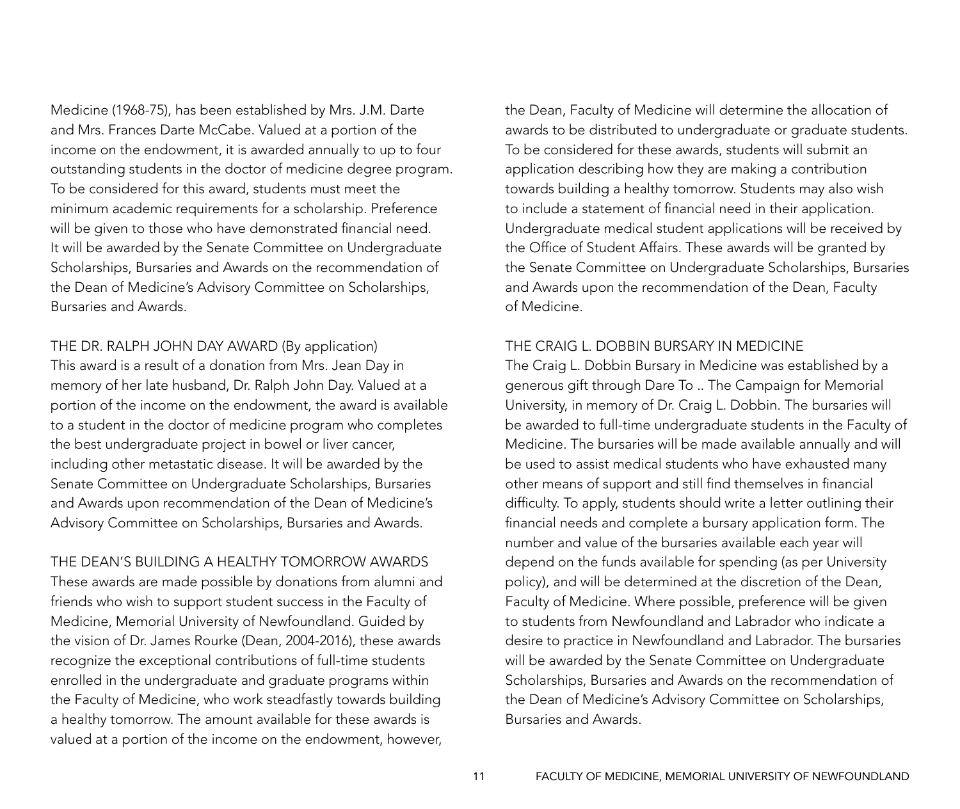Medicine (1968-75), has been established by Mrs. J.M. Darte and Mrs. Frances Darte McCabe. Valued at a portion of the income on the endowment, it is awarded annually to up to four outstanding students in the doctor of medicine degree program. To be considered for this award, students must meet the minimum academic requirements for a scholarship. Preference will be given to those who have demonstrated financial need. It will be awarded by the Senate Committee on Undergraduate Scholarships, Bursaries and Awards on the recommendation of the Dean of Medicine's Advisory Committee on Scholarships, Bursaries and Awards.

THE DR. RALPH JOHN DAY AWARD (By application) This award is a result of a donation from Mrs. Jean Day in memory of her late husband, Dr. Ralph John Day. Valued at a portion of the income on the endowment, the award is available to a student in the doctor of medicine program who completes the best undergraduate project in bowel or liver cancer, including other metastatic disease. It will be awarded by the Senate Committee on Undergraduate Scholarships, Bursaries and Awards upon recommendation of the Dean of Medicine's Advisory Committee on Scholarships, Bursaries and Awards.

THE DEAN'S BUILDING A HEALTHY TOMORROW AWARDS These awards are made possible by donations from alumni and friends who wish to support student success in the Faculty of Medicine, Memorial University of Newfoundland. Guided by the vision of Dr. James Rourke (Dean, 2004-2016), these awards recognize the exceptional contributions of full-time students enrolled in the undergraduate and graduate programs within the Faculty of Medicine, who work steadfastly towards building a healthy tomorrow. The amount available for these awards is valued at a portion of the income on the endowment, however,

the Dean, Faculty of Medicine will determine the allocation of awards to be distributed to undergraduate or graduate students. To be considered for these awards, students will submit an application describing how they are making a contribution towards building a healthy tomorrow. Students may also wish to include a statement of financial need in their application. Undergraduate medical student applications will be received by the Office of Student Affairs. These awards will be granted by the Senate Committee on Undergraduate Scholarships, Bursaries and Awards upon the recommendation of the Dean, Faculty of Medicine.

#### THE CRAIG L. DOBBIN BURSARY IN MEDICINE

The Craig L. Dobbin Bursary in Medicine was established by a generous gift through Dare To .. The Campaign for Memorial University, in memory of Dr. Craig L. Dobbin. The bursaries will be awarded to full-time undergraduate students in the Faculty of Medicine. The bursaries will be made available annually and will be used to assist medical students who have exhausted many other means of support and still find themselves in financial difficulty. To apply, students should write a letter outlining their financial needs and complete a bursary application form. The number and value of the bursaries available each year will depend on the funds available for spending (as per University policy), and will be determined at the discretion of the Dean, Faculty of Medicine. Where possible, preference will be given to students from Newfoundland and Labrador who indicate a desire to practice in Newfoundland and Labrador. The bursaries will be awarded by the Senate Committee on Undergraduate Scholarships, Bursaries and Awards on the recommendation of the Dean of Medicine's Advisory Committee on Scholarships, Bursaries and Awards.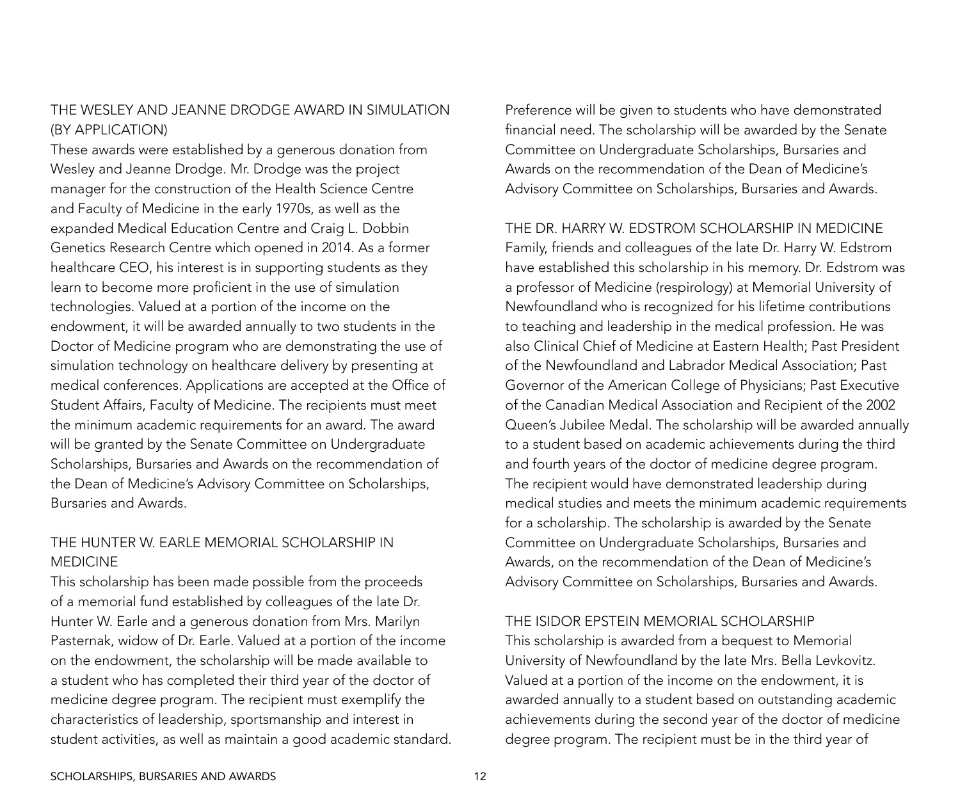### THE WESLEY AND JEANNE DRODGE AWARD IN SIMULATION (By application)

These awards were established by a generous donation from Wesley and Jeanne Drodge. Mr. Drodge was the project manager for the construction of the Health Science Centre and Faculty of Medicine in the early 1970s, as well as the expanded Medical Education Centre and Craig L. Dobbin Genetics Research Centre which opened in 2014. As a former healthcare CEO, his interest is in supporting students as they learn to become more proficient in the use of simulation technologies. Valued at a portion of the income on the endowment, it will be awarded annually to two students in the Doctor of Medicine program who are demonstrating the use of simulation technology on healthcare delivery by presenting at medical conferences. Applications are accepted at the Office of Student Affairs, Faculty of Medicine. The recipients must meet the minimum academic requirements for an award. The award will be granted by the Senate Committee on Undergraduate Scholarships, Bursaries and Awards on the recommendation of the Dean of Medicine's Advisory Committee on Scholarships, Bursaries and Awards.

### THE HUNTER W. EARLE MEMORIAL SCHOLARSHIP IN MEDICINE

This scholarship has been made possible from the proceeds of a memorial fund established by colleagues of the late Dr. Hunter W. Earle and a generous donation from Mrs. Marilyn Pasternak, widow of Dr. Earle. Valued at a portion of the income on the endowment, the scholarship will be made available to a student who has completed their third year of the doctor of medicine degree program. The recipient must exemplify the characteristics of leadership, sportsmanship and interest in student activities, as well as maintain a good academic standard. Preference will be given to students who have demonstrated financial need. The scholarship will be awarded by the Senate Committee on Undergraduate Scholarships, Bursaries and Awards on the recommendation of the Dean of Medicine's Advisory Committee on Scholarships, Bursaries and Awards.

#### THE DR. HARRY W. EDSTROM SCHOLARSHIP IN MEDICINE

Family, friends and colleagues of the late Dr. Harry W. Edstrom have established this scholarship in his memory. Dr. Edstrom was a professor of Medicine (respirology) at Memorial University of Newfoundland who is recognized for his lifetime contributions to teaching and leadership in the medical profession. He was also Clinical Chief of Medicine at Eastern Health; Past President of the Newfoundland and Labrador Medical Association; Past Governor of the American College of Physicians; Past Executive of the Canadian Medical Association and Recipient of the 2002 Queen's Jubilee Medal. The scholarship will be awarded annually to a student based on academic achievements during the third and fourth years of the doctor of medicine degree program. The recipient would have demonstrated leadership during medical studies and meets the minimum academic requirements for a scholarship. The scholarship is awarded by the Senate Committee on Undergraduate Scholarships, Bursaries and Awards, on the recommendation of the Dean of Medicine's Advisory Committee on Scholarships, Bursaries and Awards.

#### THE ISIDOR EPSTEIN MEMORIAL SCHOLARSHIP

This scholarship is awarded from a bequest to Memorial University of Newfoundland by the late Mrs. Bella Levkovitz. Valued at a portion of the income on the endowment, it is awarded annually to a student based on outstanding academic achievements during the second year of the doctor of medicine degree program. The recipient must be in the third year of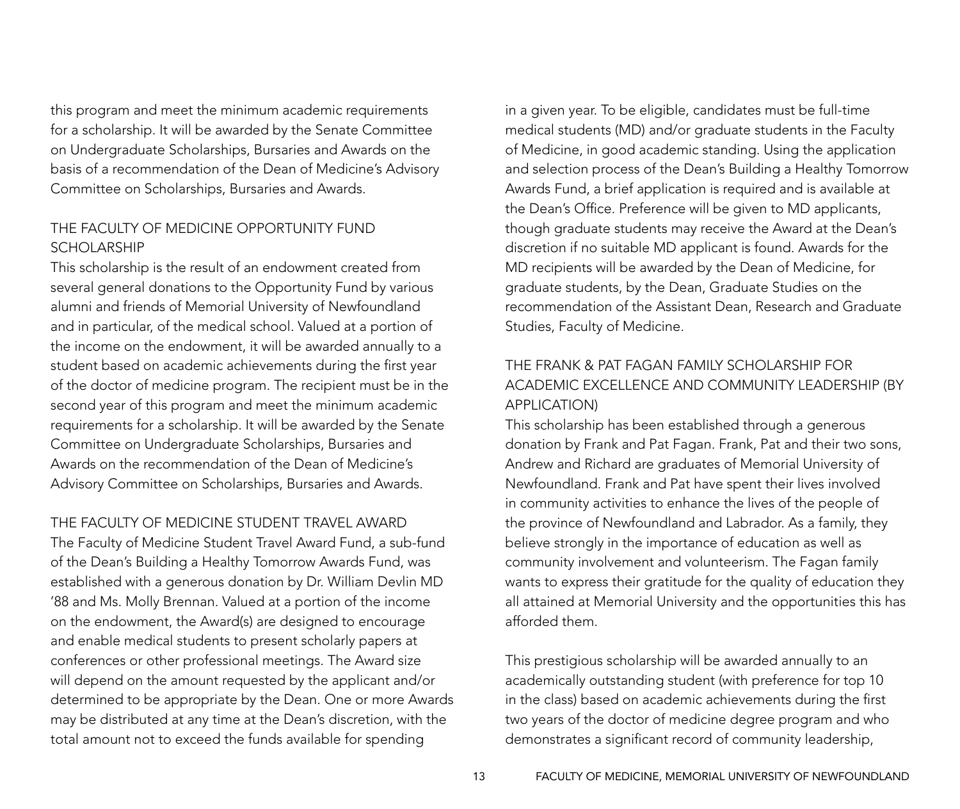this program and meet the minimum academic requirements for a scholarship. It will be awarded by the Senate Committee on Undergraduate Scholarships, Bursaries and Awards on the basis of a recommendation of the Dean of Medicine's Advisory Committee on Scholarships, Bursaries and Awards.

### THE FACULTY OF MEDICINE OPPORTUNITY FUND SCHOLARSHIP

This scholarship is the result of an endowment created from several general donations to the Opportunity Fund by various alumni and friends of Memorial University of Newfoundland and in particular, of the medical school. Valued at a portion of the income on the endowment, it will be awarded annually to a student based on academic achievements during the first year of the doctor of medicine program. The recipient must be in the second year of this program and meet the minimum academic requirements for a scholarship. It will be awarded by the Senate Committee on Undergraduate Scholarships, Bursaries and Awards on the recommendation of the Dean of Medicine's Advisory Committee on Scholarships, Bursaries and Awards.

#### The Faculty of Medicine Student Travel Award

The Faculty of Medicine Student Travel Award Fund, a sub-fund of the Dean's Building a Healthy Tomorrow Awards Fund, was established with a generous donation by Dr. William Devlin MD '88 and Ms. Molly Brennan. Valued at a portion of the income on the endowment, the Award(s) are designed to encourage and enable medical students to present scholarly papers at conferences or other professional meetings. The Award size will depend on the amount requested by the applicant and/or determined to be appropriate by the Dean. One or more Awards may be distributed at any time at the Dean's discretion, with the total amount not to exceed the funds available for spending

in a given year. To be eligible, candidates must be full-time medical students (MD) and/or graduate students in the Faculty of Medicine, in good academic standing. Using the application and selection process of the Dean's Building a Healthy Tomorrow Awards Fund, a brief application is required and is available at the Dean's Office. Preference will be given to MD applicants, though graduate students may receive the Award at the Dean's discretion if no suitable MD applicant is found. Awards for the MD recipients will be awarded by the Dean of Medicine, for graduate students, by the Dean, Graduate Studies on the recommendation of the Assistant Dean, Research and Graduate Studies, Faculty of Medicine.

### THE FRANK & PAT FAGAN FAMILY SCHOLARSHIP FOR ACADEMIC EXCELLENCE AND COMMUNITY LEADERSHIP (By Application)

This scholarship has been established through a generous donation by Frank and Pat Fagan. Frank, Pat and their two sons, Andrew and Richard are graduates of Memorial University of Newfoundland. Frank and Pat have spent their lives involved in community activities to enhance the lives of the people of the province of Newfoundland and Labrador. As a family, they believe strongly in the importance of education as well as community involvement and volunteerism. The Fagan family wants to express their gratitude for the quality of education they all attained at Memorial University and the opportunities this has afforded them.

This prestigious scholarship will be awarded annually to an academically outstanding student (with preference for top 10 in the class) based on academic achievements during the first two years of the doctor of medicine degree program and who demonstrates a significant record of community leadership,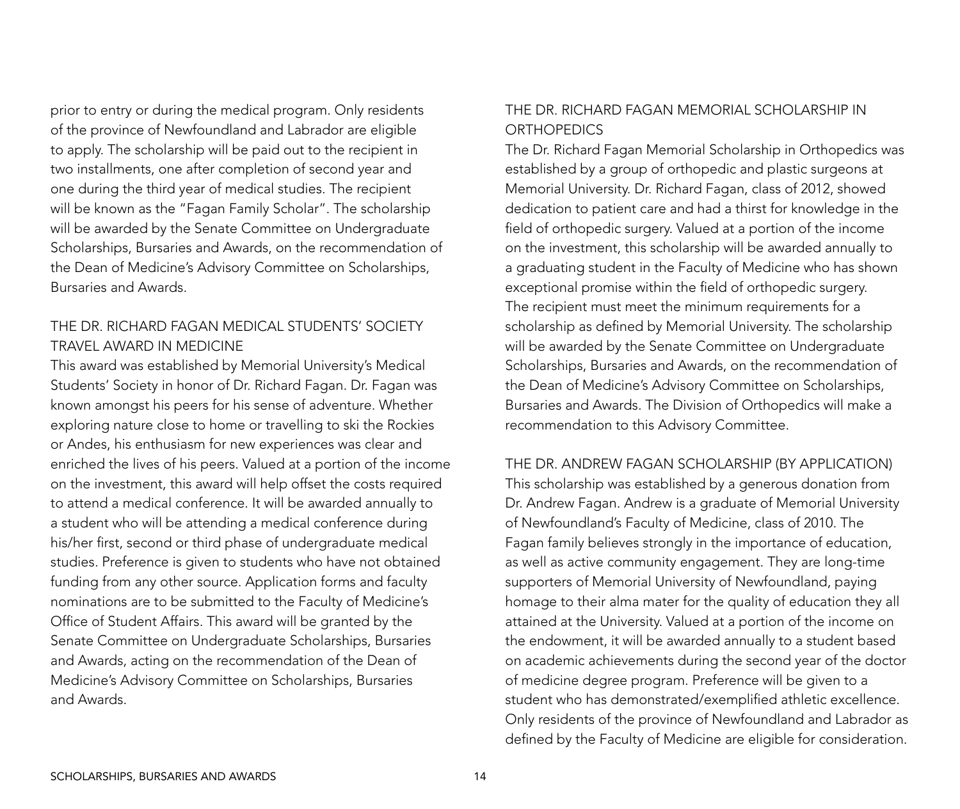prior to entry or during the medical program. Only residents of the province of Newfoundland and Labrador are eligible to apply. The scholarship will be paid out to the recipient in two installments, one after completion of second year and one during the third year of medical studies. The recipient will be known as the "Fagan Family Scholar". The scholarship will be awarded by the Senate Committee on Undergraduate Scholarships, Bursaries and Awards, on the recommendation of the Dean of Medicine's Advisory Committee on Scholarships, Bursaries and Awards.

### THE DR. RICHARD FAGAN MEDICAL STUDENTS' SOCIETY TRAVEL AWARD IN MEDICINE

This award was established by Memorial University's Medical Students' Society in honor of Dr. Richard Fagan. Dr. Fagan was known amongst his peers for his sense of adventure. Whether exploring nature close to home or travelling to ski the Rockies or Andes, his enthusiasm for new experiences was clear and enriched the lives of his peers. Valued at a portion of the income on the investment, this award will help offset the costs required to attend a medical conference. It will be awarded annually to a student who will be attending a medical conference during his/her first, second or third phase of undergraduate medical studies. Preference is given to students who have not obtained funding from any other source. Application forms and faculty nominations are to be submitted to the Faculty of Medicine's Office of Student Affairs. This award will be granted by the Senate Committee on Undergraduate Scholarships, Bursaries and Awards, acting on the recommendation of the Dean of Medicine's Advisory Committee on Scholarships, Bursaries and Awards.

### THE DR. RICHARD FAGAN MEMORIAL SCHOLARSHIP IN **ORTHOPEDICS**

The Dr. Richard Fagan Memorial Scholarship in Orthopedics was established by a group of orthopedic and plastic surgeons at Memorial University. Dr. Richard Fagan, class of 2012, showed dedication to patient care and had a thirst for knowledge in the field of orthopedic surgery. Valued at a portion of the income on the investment, this scholarship will be awarded annually to a graduating student in the Faculty of Medicine who has shown exceptional promise within the field of orthopedic surgery. The recipient must meet the minimum requirements for a scholarship as defined by Memorial University. The scholarship will be awarded by the Senate Committee on Undergraduate Scholarships, Bursaries and Awards, on the recommendation of the Dean of Medicine's Advisory Committee on Scholarships, Bursaries and Awards. The Division of Orthopedics will make a recommendation to this Advisory Committee.

#### THE DR. ANDREW FAGAN SCHOLARSHIP (By Application)

This scholarship was established by a generous donation from Dr. Andrew Fagan. Andrew is a graduate of Memorial University of Newfoundland's Faculty of Medicine, class of 2010. The Fagan family believes strongly in the importance of education, as well as active community engagement. They are long-time supporters of Memorial University of Newfoundland, paying homage to their alma mater for the quality of education they all attained at the University. Valued at a portion of the income on the endowment, it will be awarded annually to a student based on academic achievements during the second year of the doctor of medicine degree program. Preference will be given to a student who has demonstrated/exemplified athletic excellence. Only residents of the province of Newfoundland and Labrador as defined by the Faculty of Medicine are eligible for consideration.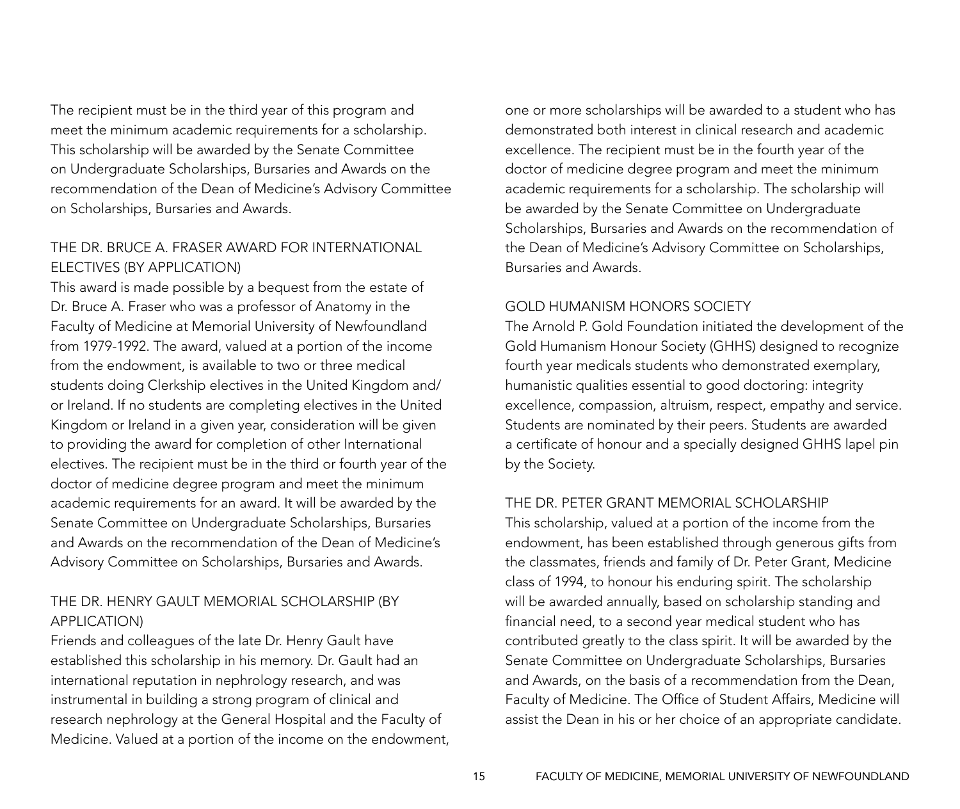The recipient must be in the third year of this program and meet the minimum academic requirements for a scholarship. This scholarship will be awarded by the Senate Committee on Undergraduate Scholarships, Bursaries and Awards on the recommendation of the Dean of Medicine's Advisory Committee on Scholarships, Bursaries and Awards.

### THE DR. BRUCE A. FRASER AWARD FOR INTERNATIONAL ELECTIVES (By Application)

This award is made possible by a bequest from the estate of Dr. Bruce A. Fraser who was a professor of Anatomy in the Faculty of Medicine at Memorial University of Newfoundland from 1979-1992. The award, valued at a portion of the income from the endowment, is available to two or three medical students doing Clerkship electives in the United Kingdom and/ or Ireland. If no students are completing electives in the United Kingdom or Ireland in a given year, consideration will be given to providing the award for completion of other International electives. The recipient must be in the third or fourth year of the doctor of medicine degree program and meet the minimum academic requirements for an award. It will be awarded by the Senate Committee on Undergraduate Scholarships, Bursaries and Awards on the recommendation of the Dean of Medicine's Advisory Committee on Scholarships, Bursaries and Awards.

### THE DR. HENRY GAULT MEMORIAL SCHOLARSHIP (By Application)

Friends and colleagues of the late Dr. Henry Gault have established this scholarship in his memory. Dr. Gault had an international reputation in nephrology research, and was instrumental in building a strong program of clinical and research nephrology at the General Hospital and the Faculty of Medicine. Valued at a portion of the income on the endowment, one or more scholarships will be awarded to a student who has demonstrated both interest in clinical research and academic excellence. The recipient must be in the fourth year of the doctor of medicine degree program and meet the minimum academic requirements for a scholarship. The scholarship will be awarded by the Senate Committee on Undergraduate Scholarships, Bursaries and Awards on the recommendation of the Dean of Medicine's Advisory Committee on Scholarships, Bursaries and Awards.

### GOLD HUMANISM HONORS SOCIETY

The Arnold P. Gold Foundation initiated the development of the Gold Humanism Honour Society (GHHS) designed to recognize fourth year medicals students who demonstrated exemplary, humanistic qualities essential to good doctoring: integrity excellence, compassion, altruism, respect, empathy and service. Students are nominated by their peers. Students are awarded a certificate of honour and a specially designed GHHS lapel pin by the Society.

#### THE DR. PETER GRANT MEMORIAL SCHOLARSHIP

This scholarship, valued at a portion of the income from the endowment, has been established through generous gifts from the classmates, friends and family of Dr. Peter Grant, Medicine class of 1994, to honour his enduring spirit. The scholarship will be awarded annually, based on scholarship standing and financial need, to a second year medical student who has contributed greatly to the class spirit. It will be awarded by the Senate Committee on Undergraduate Scholarships, Bursaries and Awards, on the basis of a recommendation from the Dean, Faculty of Medicine. The Office of Student Affairs, Medicine will assist the Dean in his or her choice of an appropriate candidate.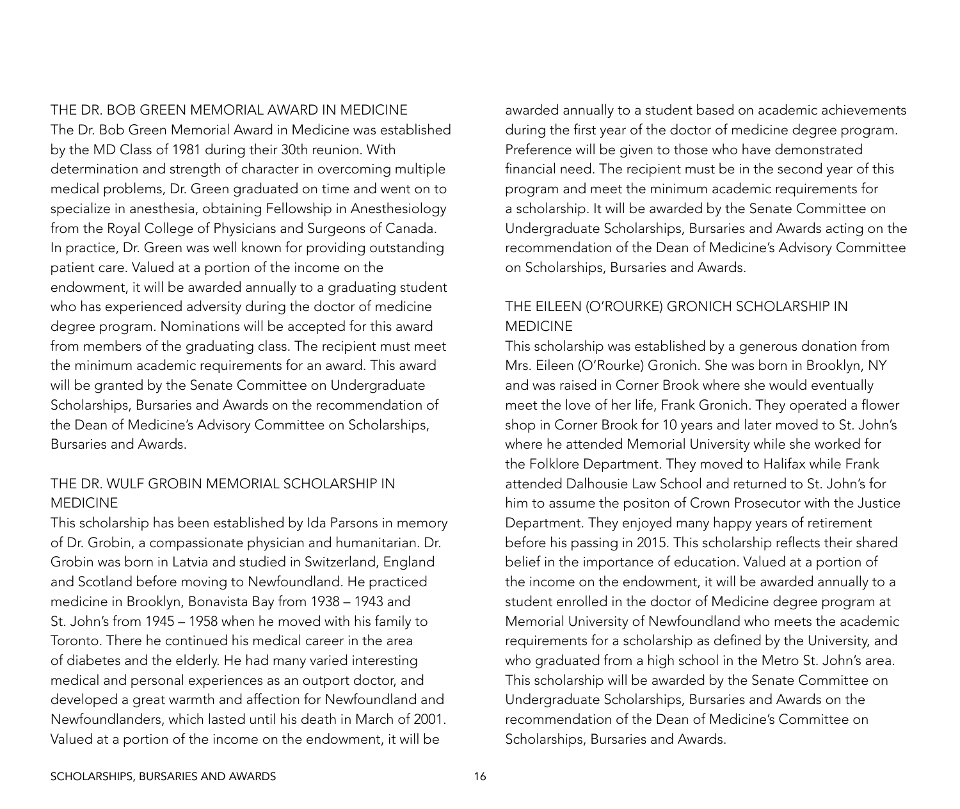#### THE DR. BOB GREEN MEMORIAL AWARD IN MEDICINE

The Dr. Bob Green Memorial Award in Medicine was established by the MD Class of 1981 during their 30th reunion. With determination and strength of character in overcoming multiple medical problems, Dr. Green graduated on time and went on to specialize in anesthesia, obtaining Fellowship in Anesthesiology from the Royal College of Physicians and Surgeons of Canada. In practice, Dr. Green was well known for providing outstanding patient care. Valued at a portion of the income on the endowment, it will be awarded annually to a graduating student who has experienced adversity during the doctor of medicine degree program. Nominations will be accepted for this award from members of the graduating class. The recipient must meet the minimum academic requirements for an award. This award will be granted by the Senate Committee on Undergraduate Scholarships, Bursaries and Awards on the recommendation of the Dean of Medicine's Advisory Committee on Scholarships, Bursaries and Awards.

### THE DR. WULF GROBIN MEMORIAL SCHOLARSHIP IN MEDICINE

This scholarship has been established by Ida Parsons in memory of Dr. Grobin, a compassionate physician and humanitarian. Dr. Grobin was born in Latvia and studied in Switzerland, England and Scotland before moving to Newfoundland. He practiced medicine in Brooklyn, Bonavista Bay from 1938 – 1943 and St. John's from 1945 – 1958 when he moved with his family to Toronto. There he continued his medical career in the area of diabetes and the elderly. He had many varied interesting medical and personal experiences as an outport doctor, and developed a great warmth and affection for Newfoundland and Newfoundlanders, which lasted until his death in March of 2001. Valued at a portion of the income on the endowment, it will be

awarded annually to a student based on academic achievements during the first year of the doctor of medicine degree program. Preference will be given to those who have demonstrated financial need. The recipient must be in the second year of this program and meet the minimum academic requirements for a scholarship. It will be awarded by the Senate Committee on Undergraduate Scholarships, Bursaries and Awards acting on the recommendation of the Dean of Medicine's Advisory Committee on Scholarships, Bursaries and Awards.

### THE EILEEN (O'ROURKE) GRONICH SCHOLARSHIP IN MEDICINE

This scholarship was established by a generous donation from Mrs. Eileen (O'Rourke) Gronich. She was born in Brooklyn, NY and was raised in Corner Brook where she would eventually meet the love of her life, Frank Gronich. They operated a flower shop in Corner Brook for 10 years and later moved to St. John's where he attended Memorial University while she worked for the Folklore Department. They moved to Halifax while Frank attended Dalhousie Law School and returned to St. John's for him to assume the positon of Crown Prosecutor with the Justice Department. They enjoyed many happy years of retirement before his passing in 2015. This scholarship reflects their shared belief in the importance of education. Valued at a portion of the income on the endowment, it will be awarded annually to a student enrolled in the doctor of Medicine degree program at Memorial University of Newfoundland who meets the academic requirements for a scholarship as defined by the University, and who graduated from a high school in the Metro St. John's area. This scholarship will be awarded by the Senate Committee on Undergraduate Scholarships, Bursaries and Awards on the recommendation of the Dean of Medicine's Committee on Scholarships, Bursaries and Awards.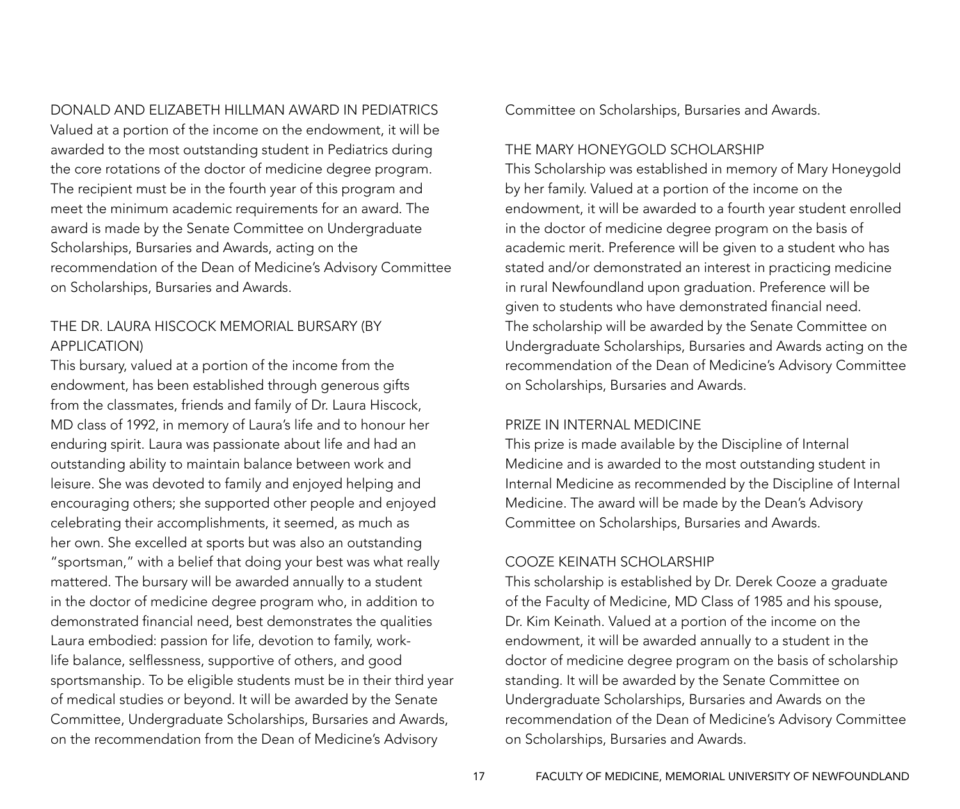DONALD AND ELIZABETH HILLMAN AWARD IN PEDIATRICS

Valued at a portion of the income on the endowment, it will be awarded to the most outstanding student in Pediatrics during the core rotations of the doctor of medicine degree program. The recipient must be in the fourth year of this program and meet the minimum academic requirements for an award. The award is made by the Senate Committee on Undergraduate Scholarships, Bursaries and Awards, acting on the recommendation of the Dean of Medicine's Advisory Committee on Scholarships, Bursaries and Awards.

### THE DR. LAURA HISCOCK MEMORIAL BURSARY (By application)

This bursary, valued at a portion of the income from the endowment, has been established through generous gifts from the classmates, friends and family of Dr. Laura Hiscock, MD class of 1992, in memory of Laura's life and to honour her enduring spirit. Laura was passionate about life and had an outstanding ability to maintain balance between work and leisure. She was devoted to family and enjoyed helping and encouraging others; she supported other people and enjoyed celebrating their accomplishments, it seemed, as much as her own. She excelled at sports but was also an outstanding "sportsman," with a belief that doing your best was what really mattered. The bursary will be awarded annually to a student in the doctor of medicine degree program who, in addition to demonstrated financial need, best demonstrates the qualities Laura embodied: passion for life, devotion to family, worklife balance, selflessness, supportive of others, and good sportsmanship. To be eligible students must be in their third year of medical studies or beyond. It will be awarded by the Senate Committee, Undergraduate Scholarships, Bursaries and Awards, on the recommendation from the Dean of Medicine's Advisory

Committee on Scholarships, Bursaries and Awards.

#### THE MARY HONEYGOLD SCHOLARSHIP

This Scholarship was established in memory of Mary Honeygold by her family. Valued at a portion of the income on the endowment, it will be awarded to a fourth year student enrolled in the doctor of medicine degree program on the basis of academic merit. Preference will be given to a student who has stated and/or demonstrated an interest in practicing medicine in rural Newfoundland upon graduation. Preference will be given to students who have demonstrated financial need. The scholarship will be awarded by the Senate Committee on Undergraduate Scholarships, Bursaries and Awards acting on the recommendation of the Dean of Medicine's Advisory Committee on Scholarships, Bursaries and Awards.

#### PRIZE IN INTERNAL MEDICINE

This prize is made available by the Discipline of Internal Medicine and is awarded to the most outstanding student in Internal Medicine as recommended by the Discipline of Internal Medicine. The award will be made by the Dean's Advisory Committee on Scholarships, Bursaries and Awards.

#### COOZE KEINATH SCHOLARSHIP

This scholarship is established by Dr. Derek Cooze a graduate of the Faculty of Medicine, MD Class of 1985 and his spouse, Dr. Kim Keinath. Valued at a portion of the income on the endowment, it will be awarded annually to a student in the doctor of medicine degree program on the basis of scholarship standing. It will be awarded by the Senate Committee on Undergraduate Scholarships, Bursaries and Awards on the recommendation of the Dean of Medicine's Advisory Committee on Scholarships, Bursaries and Awards.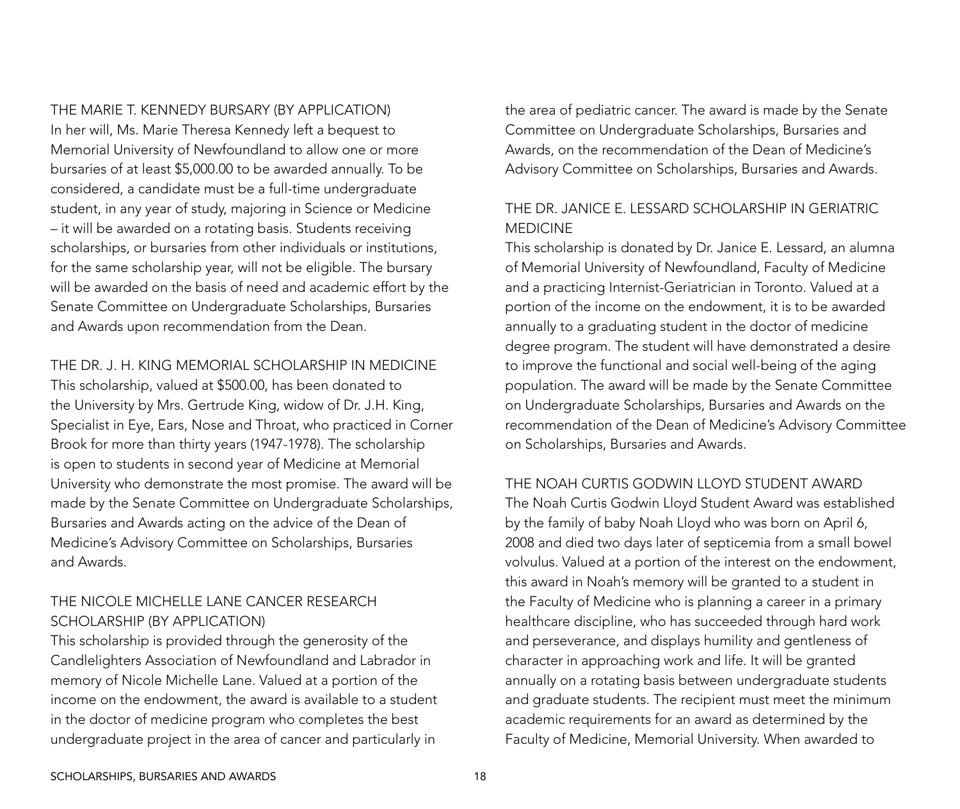#### THE MARIE T. KENNEDY BURSARY (By application)

In her will, Ms. Marie Theresa Kennedy left a bequest to Memorial University of Newfoundland to allow one or more bursaries of at least \$5,000.00 to be awarded annually. To be considered, a candidate must be a full-time undergraduate student, in any year of study, majoring in Science or Medicine – it will be awarded on a rotating basis. Students receiving scholarships, or bursaries from other individuals or institutions, for the same scholarship year, will not be eligible. The bursary will be awarded on the basis of need and academic effort by the Senate Committee on Undergraduate Scholarships, Bursaries and Awards upon recommendation from the Dean.

#### THE DR. J. H. KING MEMORIAL SCHOLARSHIP IN MEDICINE

This scholarship, valued at \$500.00, has been donated to the University by Mrs. Gertrude King, widow of Dr. J.H. King, Specialist in Eye, Ears, Nose and Throat, who practiced in Corner Brook for more than thirty years (1947-1978). The scholarship is open to students in second year of Medicine at Memorial University who demonstrate the most promise. The award will be made by the Senate Committee on Undergraduate Scholarships, Bursaries and Awards acting on the advice of the Dean of Medicine's Advisory Committee on Scholarships, Bursaries and Awards.

### THE NICOLE MICHELLE LANE CANCER RESEARCH SCHOLARSHIP (By application)

This scholarship is provided through the generosity of the Candlelighters Association of Newfoundland and Labrador in memory of Nicole Michelle Lane. Valued at a portion of the income on the endowment, the award is available to a student in the doctor of medicine program who completes the best undergraduate project in the area of cancer and particularly in

the area of pediatric cancer. The award is made by the Senate Committee on Undergraduate Scholarships, Bursaries and Awards, on the recommendation of the Dean of Medicine's Advisory Committee on Scholarships, Bursaries and Awards.

### THE DR. JANICE E. LESSARD SCHOLARSHIP IN GERIATRIC MEDICINE

This scholarship is donated by Dr. Janice E. Lessard, an alumna of Memorial University of Newfoundland, Faculty of Medicine and a practicing Internist-Geriatrician in Toronto. Valued at a portion of the income on the endowment, it is to be awarded annually to a graduating student in the doctor of medicine degree program. The student will have demonstrated a desire to improve the functional and social well-being of the aging population. The award will be made by the Senate Committee on Undergraduate Scholarships, Bursaries and Awards on the recommendation of the Dean of Medicine's Advisory Committee on Scholarships, Bursaries and Awards.

### THE NOAH CURTIS GODWIN LLOYD STUDENT AWARD

The Noah Curtis Godwin Lloyd Student Award was established by the family of baby Noah Lloyd who was born on April 6, 2008 and died two days later of septicemia from a small bowel volvulus. Valued at a portion of the interest on the endowment, this award in Noah's memory will be granted to a student in the Faculty of Medicine who is planning a career in a primary healthcare discipline, who has succeeded through hard work and perseverance, and displays humility and gentleness of character in approaching work and life. It will be granted annually on a rotating basis between undergraduate students and graduate students. The recipient must meet the minimum academic requirements for an award as determined by the Faculty of Medicine, Memorial University. When awarded to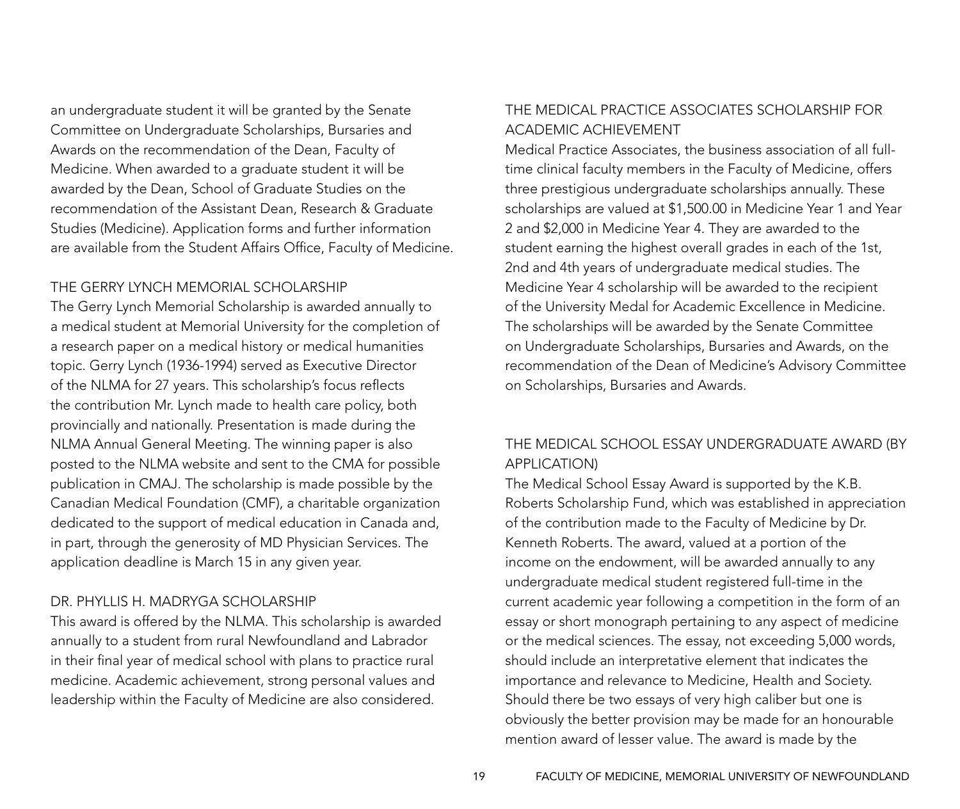an undergraduate student it will be granted by the Senate Committee on Undergraduate Scholarships, Bursaries and Awards on the recommendation of the Dean, Faculty of Medicine. When awarded to a graduate student it will be awarded by the Dean, School of Graduate Studies on the recommendation of the Assistant Dean, Research & Graduate Studies (Medicine). Application forms and further information are available from the Student Affairs Office, Faculty of Medicine.

#### THE GERRY LYNCH MEMORIAL SCHOLARSHIP

The Gerry Lynch Memorial Scholarship is awarded annually to a medical student at Memorial University for the completion of a research paper on a medical history or medical humanities topic. Gerry Lynch (1936-1994) served as Executive Director of the NLMA for 27 years. This scholarship's focus reflects the contribution Mr. Lynch made to health care policy, both provincially and nationally. Presentation is made during the NLMA Annual General Meeting. The winning paper is also posted to the NLMA website and sent to the CMA for possible publication in CMAJ. The scholarship is made possible by the Canadian Medical Foundation (CMF), a charitable organization dedicated to the support of medical education in Canada and, in part, through the generosity of MD Physician Services. The application deadline is March 15 in any given year.

#### DR. PHYLLIS H. MADRYGA SCHOLARSHIP

This award is offered by the NLMA. This scholarship is awarded annually to a student from rural Newfoundland and Labrador in their final year of medical school with plans to practice rural medicine. Academic achievement, strong personal values and leadership within the Faculty of Medicine are also considered.

### THE MEDICAL PRACTICE ASSOCIATES SCHOLARSHIP FOR ACADEMIC ACHIEVEMENT

Medical Practice Associates, the business association of all fulltime clinical faculty members in the Faculty of Medicine, offers three prestigious undergraduate scholarships annually. These scholarships are valued at \$1,500.00 in Medicine Year 1 and Year 2 and \$2,000 in Medicine Year 4. They are awarded to the student earning the highest overall grades in each of the 1st, 2nd and 4th years of undergraduate medical studies. The Medicine Year 4 scholarship will be awarded to the recipient of the University Medal for Academic Excellence in Medicine. The scholarships will be awarded by the Senate Committee on Undergraduate Scholarships, Bursaries and Awards, on the recommendation of the Dean of Medicine's Advisory Committee on Scholarships, Bursaries and Awards.

### THE MEDICAL SCHOOL ESSAY UNDERGRADUATE AWARD (By Application)

The Medical School Essay Award is supported by the K.B. Roberts Scholarship Fund, which was established in appreciation of the contribution made to the Faculty of Medicine by Dr. Kenneth Roberts. The award, valued at a portion of the income on the endowment, will be awarded annually to any undergraduate medical student registered full-time in the current academic year following a competition in the form of an essay or short monograph pertaining to any aspect of medicine or the medical sciences. The essay, not exceeding 5,000 words, should include an interpretative element that indicates the importance and relevance to Medicine, Health and Society. Should there be two essays of very high caliber but one is obviously the better provision may be made for an honourable mention award of lesser value. The award is made by the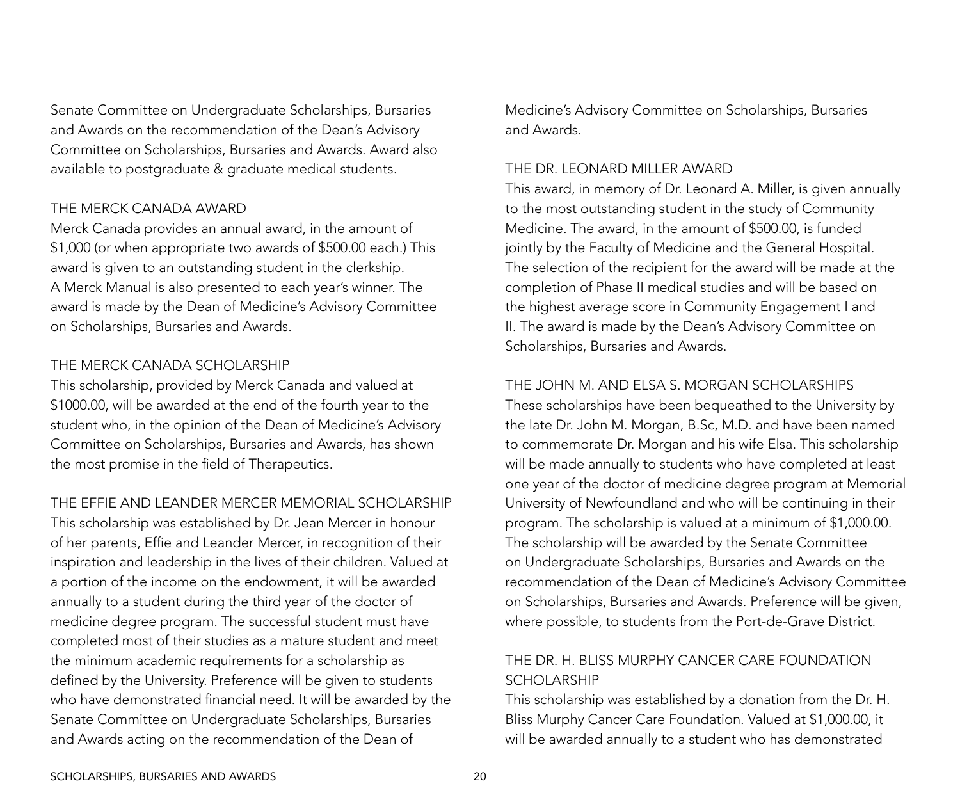Senate Committee on Undergraduate Scholarships, Bursaries and Awards on the recommendation of the Dean's Advisory Committee on Scholarships, Bursaries and Awards. Award also available to postgraduate & graduate medical students.

#### THE MERCK CANADA AWARD

Merck Canada provides an annual award, in the amount of \$1,000 (or when appropriate two awards of \$500.00 each.) This award is given to an outstanding student in the clerkship. A Merck Manual is also presented to each year's winner. The award is made by the Dean of Medicine's Advisory Committee on Scholarships, Bursaries and Awards.

#### THE MERCK CANADA SCHOLARSHIP

This scholarship, provided by Merck Canada and valued at \$1000.00, will be awarded at the end of the fourth year to the student who, in the opinion of the Dean of Medicine's Advisory Committee on Scholarships, Bursaries and Awards, has shown the most promise in the field of Therapeutics.

#### THE EFFIE AND LEANDER MERCER MEMORIAL SCHOLARSHIP

This scholarship was established by Dr. Jean Mercer in honour of her parents, Effie and Leander Mercer, in recognition of their inspiration and leadership in the lives of their children. Valued at a portion of the income on the endowment, it will be awarded annually to a student during the third year of the doctor of medicine degree program. The successful student must have completed most of their studies as a mature student and meet the minimum academic requirements for a scholarship as defined by the University. Preference will be given to students who have demonstrated financial need. It will be awarded by the Senate Committee on Undergraduate Scholarships, Bursaries and Awards acting on the recommendation of the Dean of

Medicine's Advisory Committee on Scholarships, Bursaries and Awards.

#### THE DR. LEONARD MILLER AWARD

This award, in memory of Dr. Leonard A. Miller, is given annually to the most outstanding student in the study of Community Medicine. The award, in the amount of \$500.00, is funded jointly by the Faculty of Medicine and the General Hospital. The selection of the recipient for the award will be made at the completion of Phase II medical studies and will be based on the highest average score in Community Engagement I and II. The award is made by the Dean's Advisory Committee on Scholarships, Bursaries and Awards.

#### THE JOHN M. AND ELSA S. MORGAN SCHOLARSHIPS

These scholarships have been bequeathed to the University by the late Dr. John M. Morgan, B.Sc, M.D. and have been named to commemorate Dr. Morgan and his wife Elsa. This scholarship will be made annually to students who have completed at least one year of the doctor of medicine degree program at Memorial University of Newfoundland and who will be continuing in their program. The scholarship is valued at a minimum of \$1,000.00. The scholarship will be awarded by the Senate Committee on Undergraduate Scholarships, Bursaries and Awards on the recommendation of the Dean of Medicine's Advisory Committee on Scholarships, Bursaries and Awards. Preference will be given, where possible, to students from the Port-de-Grave District.

### THE DR. H. BLISS MURPHY CANCER CARE FOUNDATION SCHOLARSHIP

This scholarship was established by a donation from the Dr. H. Bliss Murphy Cancer Care Foundation. Valued at \$1,000.00, it will be awarded annually to a student who has demonstrated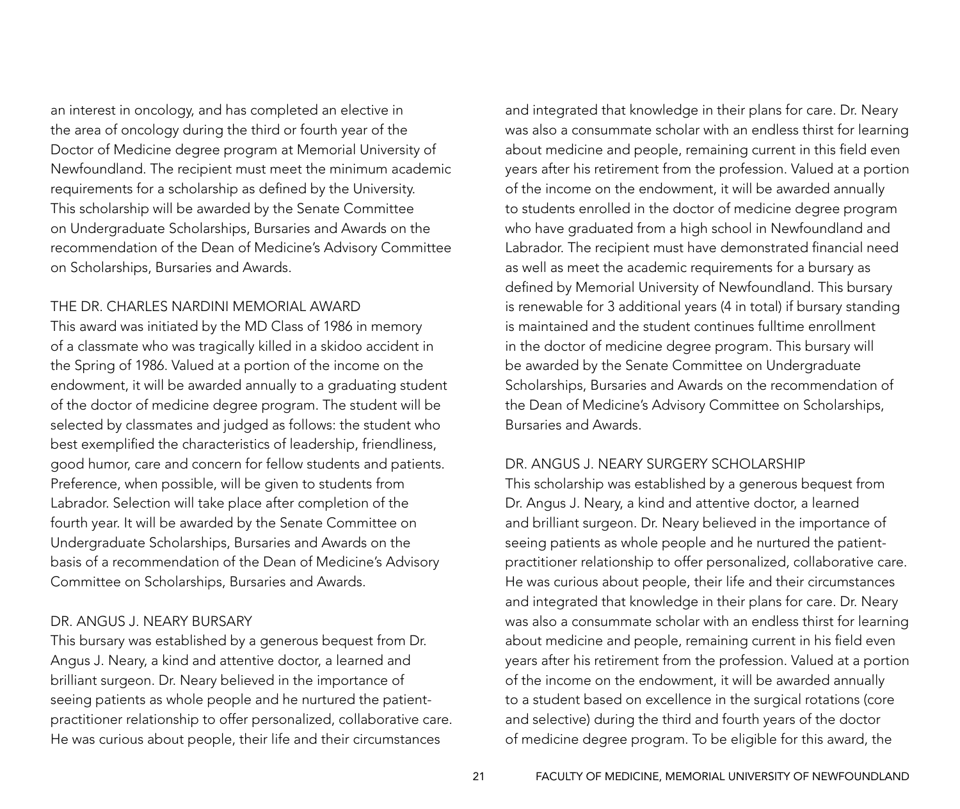an interest in oncology, and has completed an elective in the area of oncology during the third or fourth year of the Doctor of Medicine degree program at Memorial University of Newfoundland. The recipient must meet the minimum academic requirements for a scholarship as defined by the University. This scholarship will be awarded by the Senate Committee on Undergraduate Scholarships, Bursaries and Awards on the recommendation of the Dean of Medicine's Advisory Committee on Scholarships, Bursaries and Awards.

#### THE DR. CHARLES NARDINI MEMORIAL AWARD

This award was initiated by the MD Class of 1986 in memory of a classmate who was tragically killed in a skidoo accident in the Spring of 1986. Valued at a portion of the income on the endowment, it will be awarded annually to a graduating student of the doctor of medicine degree program. The student will be selected by classmates and judged as follows: the student who best exemplified the characteristics of leadership, friendliness, good humor, care and concern for fellow students and patients. Preference, when possible, will be given to students from Labrador. Selection will take place after completion of the fourth year. It will be awarded by the Senate Committee on Undergraduate Scholarships, Bursaries and Awards on the basis of a recommendation of the Dean of Medicine's Advisory Committee on Scholarships, Bursaries and Awards.

#### DR. ANGUS J. NEARY BURSARY

This bursary was established by a generous bequest from Dr. Angus J. Neary, a kind and attentive doctor, a learned and brilliant surgeon. Dr. Neary believed in the importance of seeing patients as whole people and he nurtured the patientpractitioner relationship to offer personalized, collaborative care. He was curious about people, their life and their circumstances

and integrated that knowledge in their plans for care. Dr. Neary was also a consummate scholar with an endless thirst for learning about medicine and people, remaining current in this field even years after his retirement from the profession. Valued at a portion of the income on the endowment, it will be awarded annually to students enrolled in the doctor of medicine degree program who have graduated from a high school in Newfoundland and Labrador. The recipient must have demonstrated financial need as well as meet the academic requirements for a bursary as defined by Memorial University of Newfoundland. This bursary is renewable for 3 additional years (4 in total) if bursary standing is maintained and the student continues fulltime enrollment in the doctor of medicine degree program. This bursary will be awarded by the Senate Committee on Undergraduate Scholarships, Bursaries and Awards on the recommendation of the Dean of Medicine's Advisory Committee on Scholarships, Bursaries and Awards.

#### DR. ANGUS J. NEARY SURGERY SCHOLARSHIP

This scholarship was established by a generous bequest from Dr. Angus J. Neary, a kind and attentive doctor, a learned and brilliant surgeon. Dr. Neary believed in the importance of seeing patients as whole people and he nurtured the patientpractitioner relationship to offer personalized, collaborative care. He was curious about people, their life and their circumstances and integrated that knowledge in their plans for care. Dr. Neary was also a consummate scholar with an endless thirst for learning about medicine and people, remaining current in his field even years after his retirement from the profession. Valued at a portion of the income on the endowment, it will be awarded annually to a student based on excellence in the surgical rotations (core and selective) during the third and fourth years of the doctor of medicine degree program. To be eligible for this award, the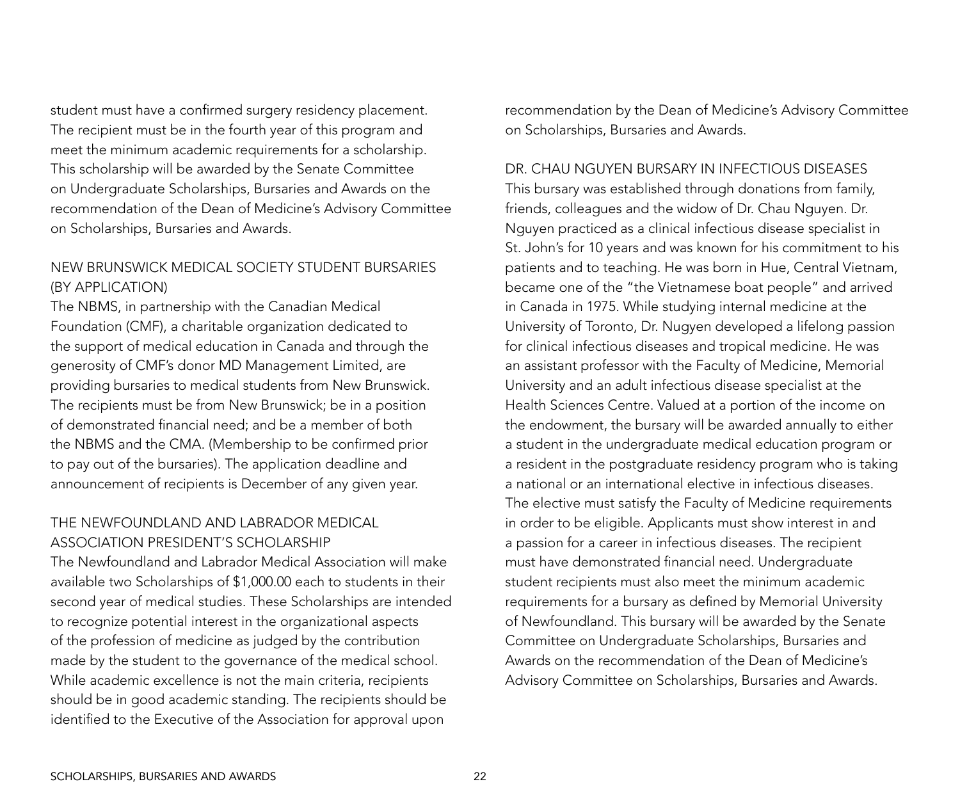student must have a confirmed surgery residency placement. The recipient must be in the fourth year of this program and meet the minimum academic requirements for a scholarship. This scholarship will be awarded by the Senate Committee on Undergraduate Scholarships, Bursaries and Awards on the recommendation of the Dean of Medicine's Advisory Committee on Scholarships, Bursaries and Awards.

### NEW BRUNSWICK MEDICAL SOCIETY STUDENT BURSARIES (By Application)

The NBMS, in partnership with the Canadian Medical Foundation (CMF), a charitable organization dedicated to the support of medical education in Canada and through the generosity of CMF's donor MD Management Limited, are providing bursaries to medical students from New Brunswick. The recipients must be from New Brunswick; be in a position of demonstrated financial need; and be a member of both the NBMS and the CMA. (Membership to be confirmed prior to pay out of the bursaries). The application deadline and announcement of recipients is December of any given year.

### THE NEWFOUNDLAND AND LABRADOR MEDICAL ASSOCIATION PRESIDENT'S SCHOLARSHIP

The Newfoundland and Labrador Medical Association will make available two Scholarships of \$1,000.00 each to students in their second year of medical studies. These Scholarships are intended to recognize potential interest in the organizational aspects of the profession of medicine as judged by the contribution made by the student to the governance of the medical school. While academic excellence is not the main criteria, recipients should be in good academic standing. The recipients should be identified to the Executive of the Association for approval upon

recommendation by the Dean of Medicine's Advisory Committee on Scholarships, Bursaries and Awards.

#### Dr. Chau Nguyen Bursary in Infectious Diseases

This bursary was established through donations from family, friends, colleagues and the widow of Dr. Chau Nguyen. Dr. Nguyen practiced as a clinical infectious disease specialist in St. John's for 10 years and was known for his commitment to his patients and to teaching. He was born in Hue, Central Vietnam, became one of the "the Vietnamese boat people" and arrived in Canada in 1975. While studying internal medicine at the University of Toronto, Dr. Nugyen developed a lifelong passion for clinical infectious diseases and tropical medicine. He was an assistant professor with the Faculty of Medicine, Memorial University and an adult infectious disease specialist at the Health Sciences Centre. Valued at a portion of the income on the endowment, the bursary will be awarded annually to either a student in the undergraduate medical education program or a resident in the postgraduate residency program who is taking a national or an international elective in infectious diseases. The elective must satisfy the Faculty of Medicine requirements in order to be eligible. Applicants must show interest in and a passion for a career in infectious diseases. The recipient must have demonstrated financial need. Undergraduate student recipients must also meet the minimum academic requirements for a bursary as defined by Memorial University of Newfoundland. This bursary will be awarded by the Senate Committee on Undergraduate Scholarships, Bursaries and Awards on the recommendation of the Dean of Medicine's Advisory Committee on Scholarships, Bursaries and Awards.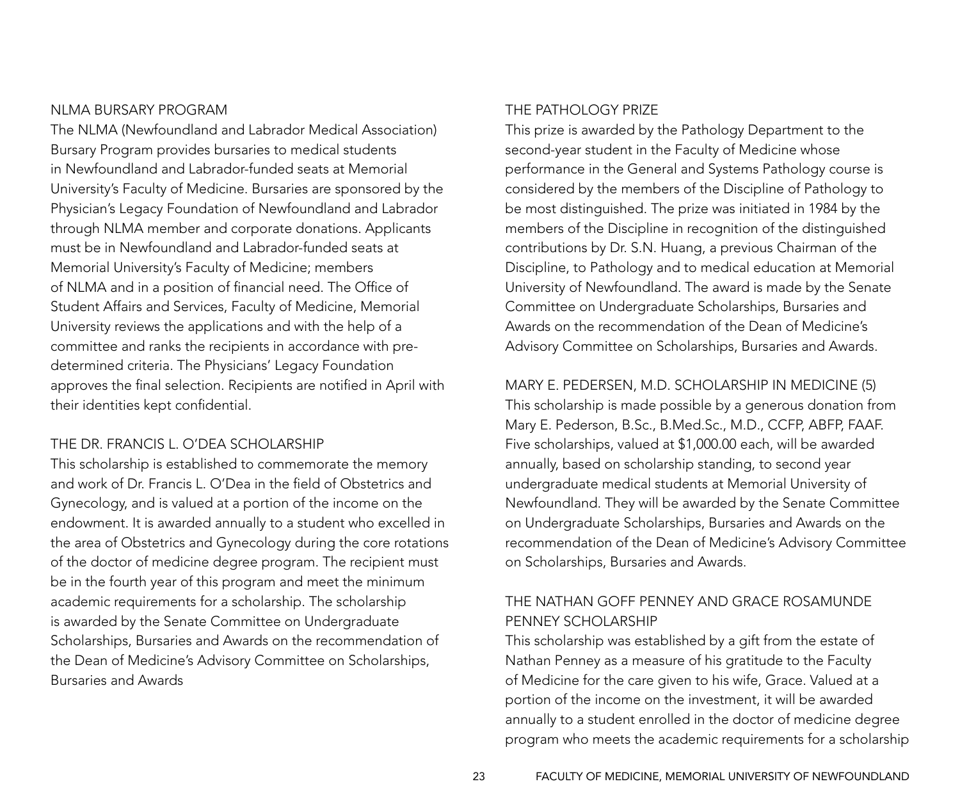#### NLMA BURSARY PROGRAM

The NLMA (Newfoundland and Labrador Medical Association) Bursary Program provides bursaries to medical students in Newfoundland and Labrador-funded seats at Memorial University's Faculty of Medicine. Bursaries are sponsored by the Physician's Legacy Foundation of Newfoundland and Labrador through NLMA member and corporate donations. Applicants must be in Newfoundland and Labrador-funded seats at Memorial University's Faculty of Medicine; members of NLMA and in a position of financial need. The Office of Student Affairs and Services, Faculty of Medicine, Memorial University reviews the applications and with the help of a committee and ranks the recipients in accordance with predetermined criteria. The Physicians' Legacy Foundation approves the final selection. Recipients are notified in April with their identities kept confidential.

#### THE DR. FRANCIS L. O'DEA SCHOLARSHIP

This scholarship is established to commemorate the memory and work of Dr. Francis L. O'Dea in the field of Obstetrics and Gynecology, and is valued at a portion of the income on the endowment. It is awarded annually to a student who excelled in the area of Obstetrics and Gynecology during the core rotations of the doctor of medicine degree program. The recipient must be in the fourth year of this program and meet the minimum academic requirements for a scholarship. The scholarship is awarded by the Senate Committee on Undergraduate Scholarships, Bursaries and Awards on the recommendation of the Dean of Medicine's Advisory Committee on Scholarships, Bursaries and Awards

#### THE PATHOLOGY PRIZE

This prize is awarded by the Pathology Department to the second-year student in the Faculty of Medicine whose performance in the General and Systems Pathology course is considered by the members of the Discipline of Pathology to be most distinguished. The prize was initiated in 1984 by the members of the Discipline in recognition of the distinguished contributions by Dr. S.N. Huang, a previous Chairman of the Discipline, to Pathology and to medical education at Memorial University of Newfoundland. The award is made by the Senate Committee on Undergraduate Scholarships, Bursaries and Awards on the recommendation of the Dean of Medicine's Advisory Committee on Scholarships, Bursaries and Awards.

MARY E. PEDERSEN, M.D. SCHOLARSHIP IN MEDICINE (5) This scholarship is made possible by a generous donation from Mary E. Pederson, B.Sc., B.Med.Sc., M.D., CCFP, ABFP, FAAF. Five scholarships, valued at \$1,000.00 each, will be awarded annually, based on scholarship standing, to second year undergraduate medical students at Memorial University of Newfoundland. They will be awarded by the Senate Committee on Undergraduate Scholarships, Bursaries and Awards on the recommendation of the Dean of Medicine's Advisory Committee on Scholarships, Bursaries and Awards.

### THE NATHAN GOFF PENNEY AND GRACE ROSAMUNDE PENNEY SCHOLARSHIP

This scholarship was established by a gift from the estate of Nathan Penney as a measure of his gratitude to the Faculty of Medicine for the care given to his wife, Grace. Valued at a portion of the income on the investment, it will be awarded annually to a student enrolled in the doctor of medicine degree program who meets the academic requirements for a scholarship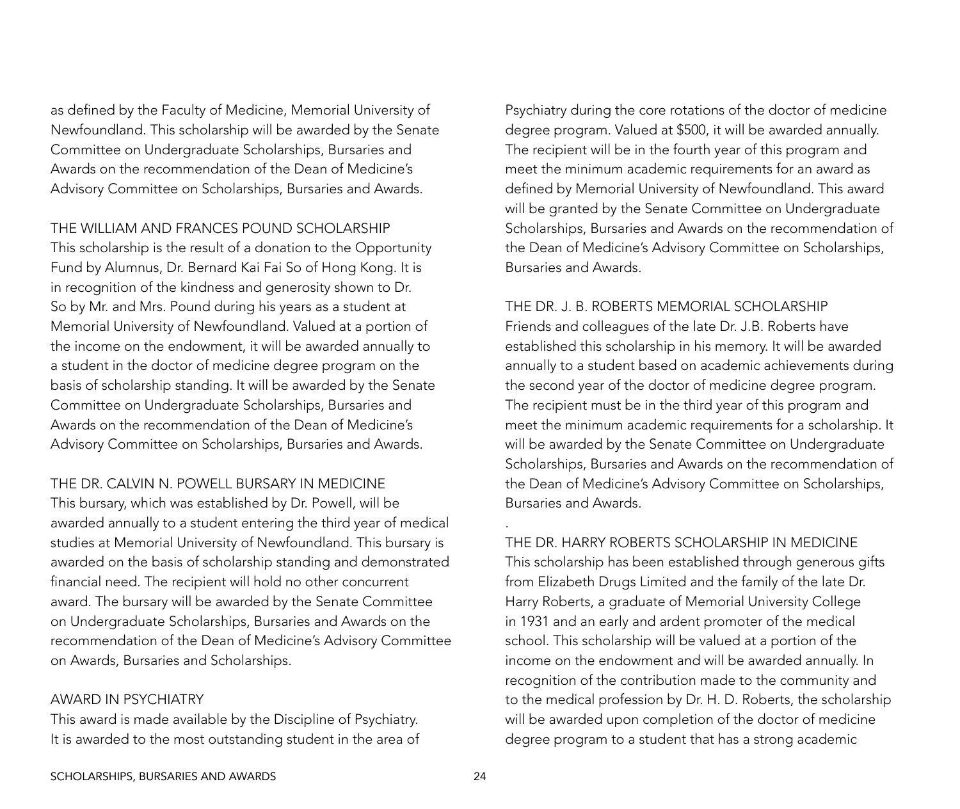as defined by the Faculty of Medicine, Memorial University of Newfoundland. This scholarship will be awarded by the Senate Committee on Undergraduate Scholarships, Bursaries and Awards on the recommendation of the Dean of Medicine's Advisory Committee on Scholarships, Bursaries and Awards.

#### THE WILLIAM AND FRANCES POUND SCHOLARSHIP

This scholarship is the result of a donation to the Opportunity Fund by Alumnus, Dr. Bernard Kai Fai So of Hong Kong. It is in recognition of the kindness and generosity shown to Dr. So by Mr. and Mrs. Pound during his years as a student at Memorial University of Newfoundland. Valued at a portion of the income on the endowment, it will be awarded annually to a student in the doctor of medicine degree program on the basis of scholarship standing. It will be awarded by the Senate Committee on Undergraduate Scholarships, Bursaries and Awards on the recommendation of the Dean of Medicine's Advisory Committee on Scholarships, Bursaries and Awards.

#### THE DR. CALVIN N. POWELL BURSARY IN MEDICINE

This bursary, which was established by Dr. Powell, will be awarded annually to a student entering the third year of medical studies at Memorial University of Newfoundland. This bursary is awarded on the basis of scholarship standing and demonstrated financial need. The recipient will hold no other concurrent award. The bursary will be awarded by the Senate Committee on Undergraduate Scholarships, Bursaries and Awards on the recommendation of the Dean of Medicine's Advisory Committee on Awards, Bursaries and Scholarships.

#### AWARD IN PSYCHIATRY

This award is made available by the Discipline of Psychiatry. It is awarded to the most outstanding student in the area of Psychiatry during the core rotations of the doctor of medicine degree program. Valued at \$500, it will be awarded annually. The recipient will be in the fourth year of this program and meet the minimum academic requirements for an award as defined by Memorial University of Newfoundland. This award will be granted by the Senate Committee on Undergraduate Scholarships, Bursaries and Awards on the recommendation of the Dean of Medicine's Advisory Committee on Scholarships, Bursaries and Awards.

#### THE DR. J. B. ROBERTS MEMORIAL SCHOLARSHIP

Friends and colleagues of the late Dr. J.B. Roberts have established this scholarship in his memory. It will be awarded annually to a student based on academic achievements during the second year of the doctor of medicine degree program. The recipient must be in the third year of this program and meet the minimum academic requirements for a scholarship. It will be awarded by the Senate Committee on Undergraduate Scholarships, Bursaries and Awards on the recommendation of the Dean of Medicine's Advisory Committee on Scholarships, Bursaries and Awards.

THE DR. HARRY ROBERTS SCHOLARSHIP IN MEDICINE This scholarship has been established through generous gifts from Elizabeth Drugs Limited and the family of the late Dr. Harry Roberts, a graduate of Memorial University College in 1931 and an early and ardent promoter of the medical school. This scholarship will be valued at a portion of the income on the endowment and will be awarded annually. In recognition of the contribution made to the community and to the medical profession by Dr. H. D. Roberts, the scholarship will be awarded upon completion of the doctor of medicine degree program to a student that has a strong academic

.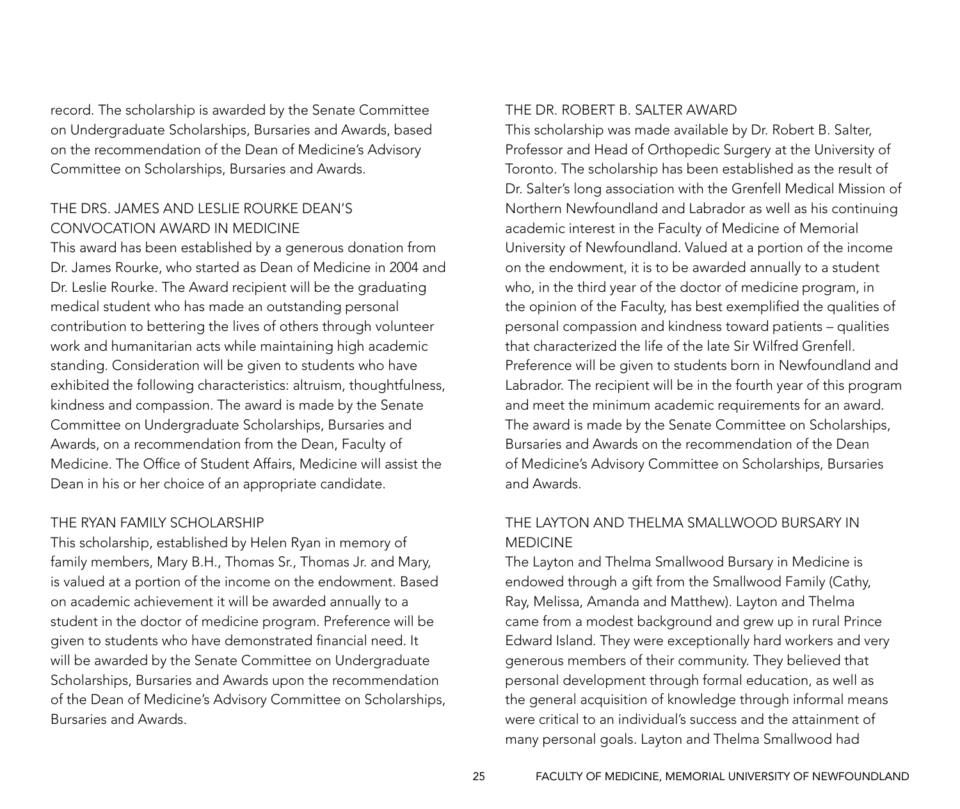record. The scholarship is awarded by the Senate Committee on Undergraduate Scholarships, Bursaries and Awards, based on the recommendation of the Dean of Medicine's Advisory Committee on Scholarships, Bursaries and Awards.

### THE DRS. JAMES AND LESLIE ROURKE DEAN'S CONVOCATION AWARD IN MEDICINE

This award has been established by a generous donation from Dr. James Rourke, who started as Dean of Medicine in 2004 and Dr. Leslie Rourke. The Award recipient will be the graduating medical student who has made an outstanding personal contribution to bettering the lives of others through volunteer work and humanitarian acts while maintaining high academic standing. Consideration will be given to students who have exhibited the following characteristics: altruism, thoughtfulness, kindness and compassion. The award is made by the Senate Committee on Undergraduate Scholarships, Bursaries and Awards, on a recommendation from the Dean, Faculty of Medicine. The Office of Student Affairs, Medicine will assist the Dean in his or her choice of an appropriate candidate.

#### THE RYAN family SCHOLARSHIP

This scholarship, established by Helen Ryan in memory of family members, Mary B.H., Thomas Sr., Thomas Jr. and Mary, is valued at a portion of the income on the endowment. Based on academic achievement it will be awarded annually to a student in the doctor of medicine program. Preference will be given to students who have demonstrated financial need. It will be awarded by the Senate Committee on Undergraduate Scholarships, Bursaries and Awards upon the recommendation of the Dean of Medicine's Advisory Committee on Scholarships, Bursaries and Awards.

#### THE DR. ROBERT B. SALTER AWARD

This scholarship was made available by Dr. Robert B. Salter, Professor and Head of Orthopedic Surgery at the University of Toronto. The scholarship has been established as the result of Dr. Salter's long association with the Grenfell Medical Mission of Northern Newfoundland and Labrador as well as his continuing academic interest in the Faculty of Medicine of Memorial University of Newfoundland. Valued at a portion of the income on the endowment, it is to be awarded annually to a student who, in the third year of the doctor of medicine program, in the opinion of the Faculty, has best exemplified the qualities of personal compassion and kindness toward patients – qualities that characterized the life of the late Sir Wilfred Grenfell. Preference will be given to students born in Newfoundland and Labrador. The recipient will be in the fourth year of this program and meet the minimum academic requirements for an award. The award is made by the Senate Committee on Scholarships, Bursaries and Awards on the recommendation of the Dean of Medicine's Advisory Committee on Scholarships, Bursaries and Awards.

### THE LAYTON AND THELMA SMALLWOOD BURSARY IN MEDICINE

The Layton and Thelma Smallwood Bursary in Medicine is endowed through a gift from the Smallwood Family (Cathy, Ray, Melissa, Amanda and Matthew). Layton and Thelma came from a modest background and grew up in rural Prince Edward Island. They were exceptionally hard workers and very generous members of their community. They believed that personal development through formal education, as well as the general acquisition of knowledge through informal means were critical to an individual's success and the attainment of many personal goals. Layton and Thelma Smallwood had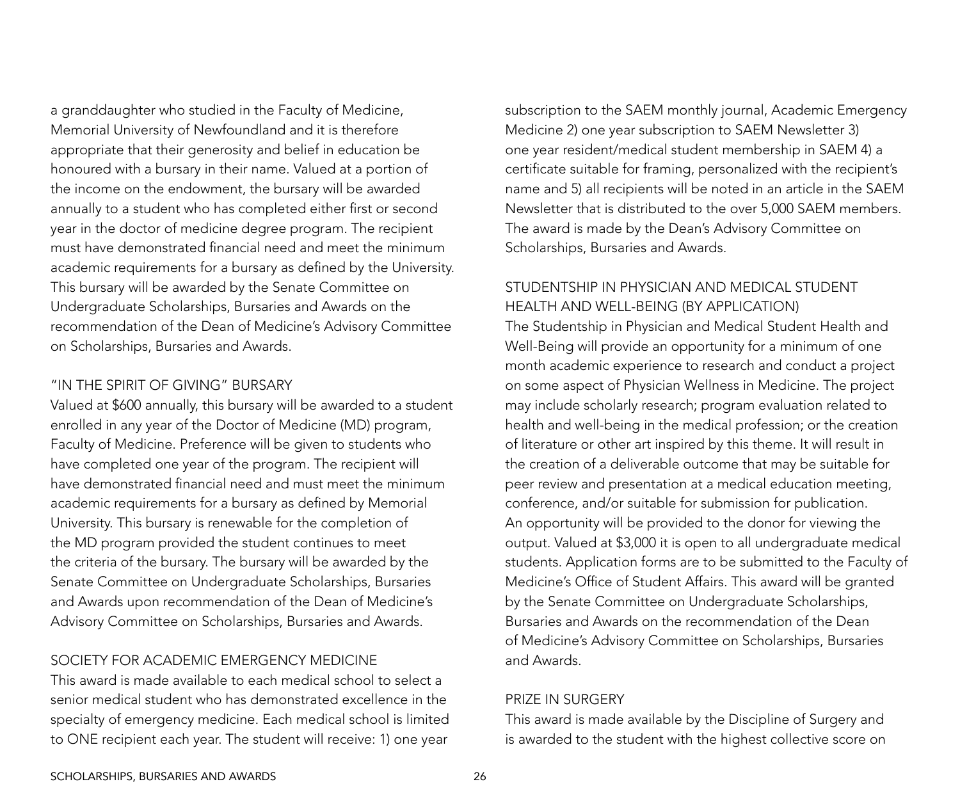a granddaughter who studied in the Faculty of Medicine, Memorial University of Newfoundland and it is therefore appropriate that their generosity and belief in education be honoured with a bursary in their name. Valued at a portion of the income on the endowment, the bursary will be awarded annually to a student who has completed either first or second year in the doctor of medicine degree program. The recipient must have demonstrated financial need and meet the minimum academic requirements for a bursary as defined by the University. This bursary will be awarded by the Senate Committee on Undergraduate Scholarships, Bursaries and Awards on the recommendation of the Dean of Medicine's Advisory Committee on Scholarships, Bursaries and Awards.

#### "IN THE SPIRIT OF GIVING" BURSARY

Valued at \$600 annually, this bursary will be awarded to a student enrolled in any year of the Doctor of Medicine (MD) program, Faculty of Medicine. Preference will be given to students who have completed one year of the program. The recipient will have demonstrated financial need and must meet the minimum academic requirements for a bursary as defined by Memorial University. This bursary is renewable for the completion of the MD program provided the student continues to meet the criteria of the bursary. The bursary will be awarded by the Senate Committee on Undergraduate Scholarships, Bursaries and Awards upon recommendation of the Dean of Medicine's Advisory Committee on Scholarships, Bursaries and Awards.

#### SOCIETY FOR ACADEMIC EMERGENCY MEDICINE

This award is made available to each medical school to select a senior medical student who has demonstrated excellence in the specialty of emergency medicine. Each medical school is limited to ONE recipient each year. The student will receive: 1) one year

subscription to the SAEM monthly journal, Academic Emergency Medicine 2) one year subscription to SAEM Newsletter 3) one year resident/medical student membership in SAEM 4) a certificate suitable for framing, personalized with the recipient's name and 5) all recipients will be noted in an article in the SAEM Newsletter that is distributed to the over 5,000 SAEM members. The award is made by the Dean's Advisory Committee on Scholarships, Bursaries and Awards.

### STUDENTSHIP IN PHYSICIAN AND MEDICAL STUDENT HEALTH AND WELL-BEING (By application)

The Studentship in Physician and Medical Student Health and Well-Being will provide an opportunity for a minimum of one month academic experience to research and conduct a project on some aspect of Physician Wellness in Medicine. The project may include scholarly research; program evaluation related to health and well-being in the medical profession; or the creation of literature or other art inspired by this theme. It will result in the creation of a deliverable outcome that may be suitable for peer review and presentation at a medical education meeting, conference, and/or suitable for submission for publication. An opportunity will be provided to the donor for viewing the output. Valued at \$3,000 it is open to all undergraduate medical students. Application forms are to be submitted to the Faculty of Medicine's Office of Student Affairs. This award will be granted by the Senate Committee on Undergraduate Scholarships, Bursaries and Awards on the recommendation of the Dean of Medicine's Advisory Committee on Scholarships, Bursaries and Awards.

#### PRIZE IN SURGERY

This award is made available by the Discipline of Surgery and is awarded to the student with the highest collective score on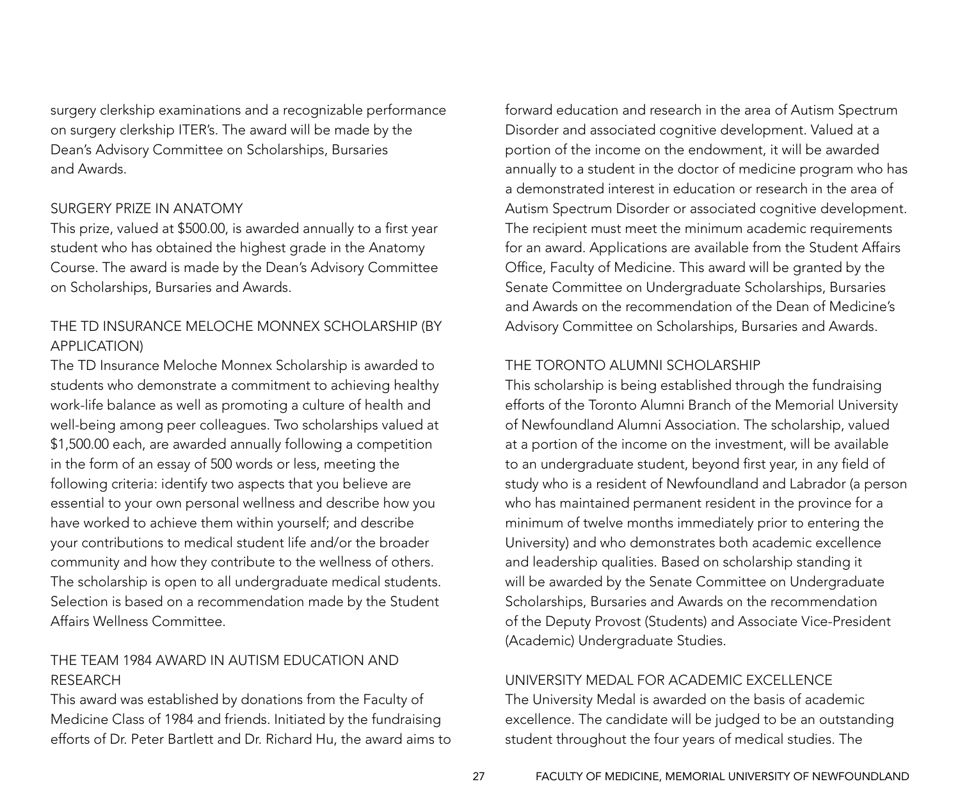surgery clerkship examinations and a recognizable performance on surgery clerkship ITER's. The award will be made by the Dean's Advisory Committee on Scholarships, Bursaries and Awards.

#### SURGERY PRIZE IN ANATOMY

This prize, valued at \$500.00, is awarded annually to a first year student who has obtained the highest grade in the Anatomy Course. The award is made by the Dean's Advisory Committee on Scholarships, Bursaries and Awards.

### THE TD INSURANCE MELOCHE MONNEX SCHOLARSHIP (By Application)

The TD Insurance Meloche Monnex Scholarship is awarded to students who demonstrate a commitment to achieving healthy work-life balance as well as promoting a culture of health and well-being among peer colleagues. Two scholarships valued at \$1,500.00 each, are awarded annually following a competition in the form of an essay of 500 words or less, meeting the following criteria: identify two aspects that you believe are essential to your own personal wellness and describe how you have worked to achieve them within yourself; and describe your contributions to medical student life and/or the broader community and how they contribute to the wellness of others. The scholarship is open to all undergraduate medical students. Selection is based on a recommendation made by the Student Affairs Wellness Committee.

### THE TEAM 1984 AWARD IN AUTISM EDUCATION AND RESEARCH

This award was established by donations from the Faculty of Medicine Class of 1984 and friends. Initiated by the fundraising efforts of Dr. Peter Bartlett and Dr. Richard Hu, the award aims to forward education and research in the area of Autism Spectrum Disorder and associated cognitive development. Valued at a portion of the income on the endowment, it will be awarded annually to a student in the doctor of medicine program who has a demonstrated interest in education or research in the area of Autism Spectrum Disorder or associated cognitive development. The recipient must meet the minimum academic requirements for an award. Applications are available from the Student Affairs Office, Faculty of Medicine. This award will be granted by the Senate Committee on Undergraduate Scholarships, Bursaries and Awards on the recommendation of the Dean of Medicine's Advisory Committee on Scholarships, Bursaries and Awards.

### THE TORONTO ALUMNI SCHOLARSHIP

This scholarship is being established through the fundraising efforts of the Toronto Alumni Branch of the Memorial University of Newfoundland Alumni Association. The scholarship, valued at a portion of the income on the investment, will be available to an undergraduate student, beyond first year, in any field of study who is a resident of Newfoundland and Labrador (a person who has maintained permanent resident in the province for a minimum of twelve months immediately prior to entering the University) and who demonstrates both academic excellence and leadership qualities. Based on scholarship standing it will be awarded by the Senate Committee on Undergraduate Scholarships, Bursaries and Awards on the recommendation of the Deputy Provost (Students) and Associate Vice-President (Academic) Undergraduate Studies.

#### UNIVERSITY MEDAL FOR ACADEMIC EXCELLENCE

The University Medal is awarded on the basis of academic excellence. The candidate will be judged to be an outstanding student throughout the four years of medical studies. The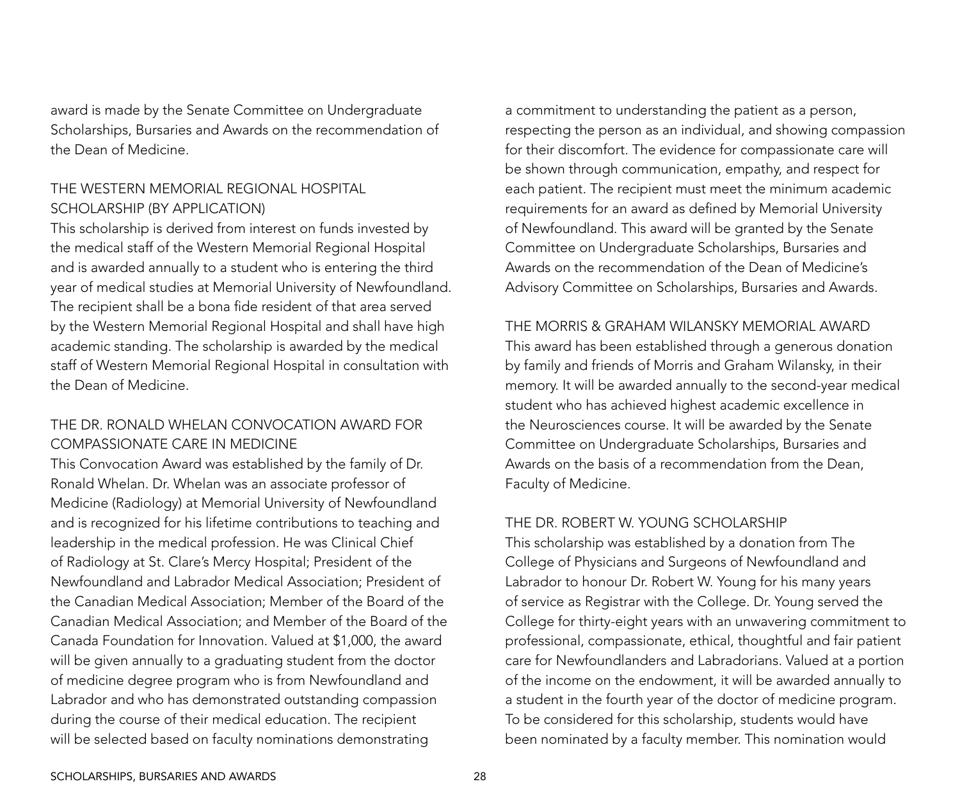award is made by the Senate Committee on Undergraduate Scholarships, Bursaries and Awards on the recommendation of the Dean of Medicine.

### THE WESTERN MEMORIAL REGIONAL HOSPITAL SCHOLARSHIP (By application)

This scholarship is derived from interest on funds invested by the medical staff of the Western Memorial Regional Hospital and is awarded annually to a student who is entering the third year of medical studies at Memorial University of Newfoundland. The recipient shall be a bona fide resident of that area served by the Western Memorial Regional Hospital and shall have high academic standing. The scholarship is awarded by the medical staff of Western Memorial Regional Hospital in consultation with the Dean of Medicine.

### THE DR. RONALD WHELAN CONVOCATION AWARD FOR COMPASSIONATE CARE IN MEDICINE

This Convocation Award was established by the family of Dr. Ronald Whelan. Dr. Whelan was an associate professor of Medicine (Radiology) at Memorial University of Newfoundland and is recognized for his lifetime contributions to teaching and leadership in the medical profession. He was Clinical Chief of Radiology at St. Clare's Mercy Hospital; President of the Newfoundland and Labrador Medical Association; President of the Canadian Medical Association; Member of the Board of the Canadian Medical Association; and Member of the Board of the Canada Foundation for Innovation. Valued at \$1,000, the award will be given annually to a graduating student from the doctor of medicine degree program who is from Newfoundland and Labrador and who has demonstrated outstanding compassion during the course of their medical education. The recipient will be selected based on faculty nominations demonstrating

a commitment to understanding the patient as a person, respecting the person as an individual, and showing compassion for their discomfort. The evidence for compassionate care will be shown through communication, empathy, and respect for each patient. The recipient must meet the minimum academic requirements for an award as defined by Memorial University of Newfoundland. This award will be granted by the Senate Committee on Undergraduate Scholarships, Bursaries and Awards on the recommendation of the Dean of Medicine's Advisory Committee on Scholarships, Bursaries and Awards.

#### THE MORRIS & GRAHAM WILANSKY MEMORIAL AWARD

This award has been established through a generous donation by family and friends of Morris and Graham Wilansky, in their memory. It will be awarded annually to the second-year medical student who has achieved highest academic excellence in the Neurosciences course. It will be awarded by the Senate Committee on Undergraduate Scholarships, Bursaries and Awards on the basis of a recommendation from the Dean, Faculty of Medicine.

#### THE DR. ROBERT W. YOUNG SCHOLARSHIP

This scholarship was established by a donation from The College of Physicians and Surgeons of Newfoundland and Labrador to honour Dr. Robert W. Young for his many years of service as Registrar with the College. Dr. Young served the College for thirty-eight years with an unwavering commitment to professional, compassionate, ethical, thoughtful and fair patient care for Newfoundlanders and Labradorians. Valued at a portion of the income on the endowment, it will be awarded annually to a student in the fourth year of the doctor of medicine program. To be considered for this scholarship, students would have been nominated by a faculty member. This nomination would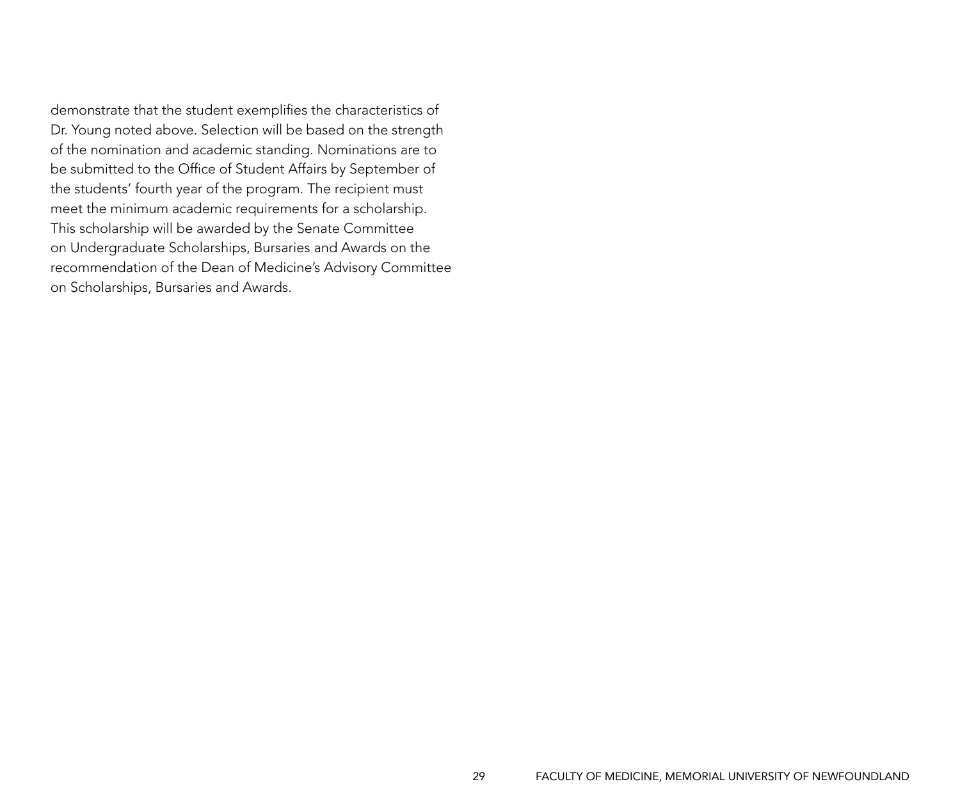demonstrate that the student exemplifies the characteristics of Dr. Young noted above. Selection will be based on the strength of the nomination and academic standing. Nominations are to be submitted to the Office of Student Affairs by September of the students' fourth year of the program. The recipient must meet the minimum academic requirements for a scholarship. This scholarship will be awarded by the Senate Committee on Undergraduate Scholarships, Bursaries and Awards on the recommendation of the Dean of Medicine's Advisory Committee on Scholarships, Bursaries and Awards.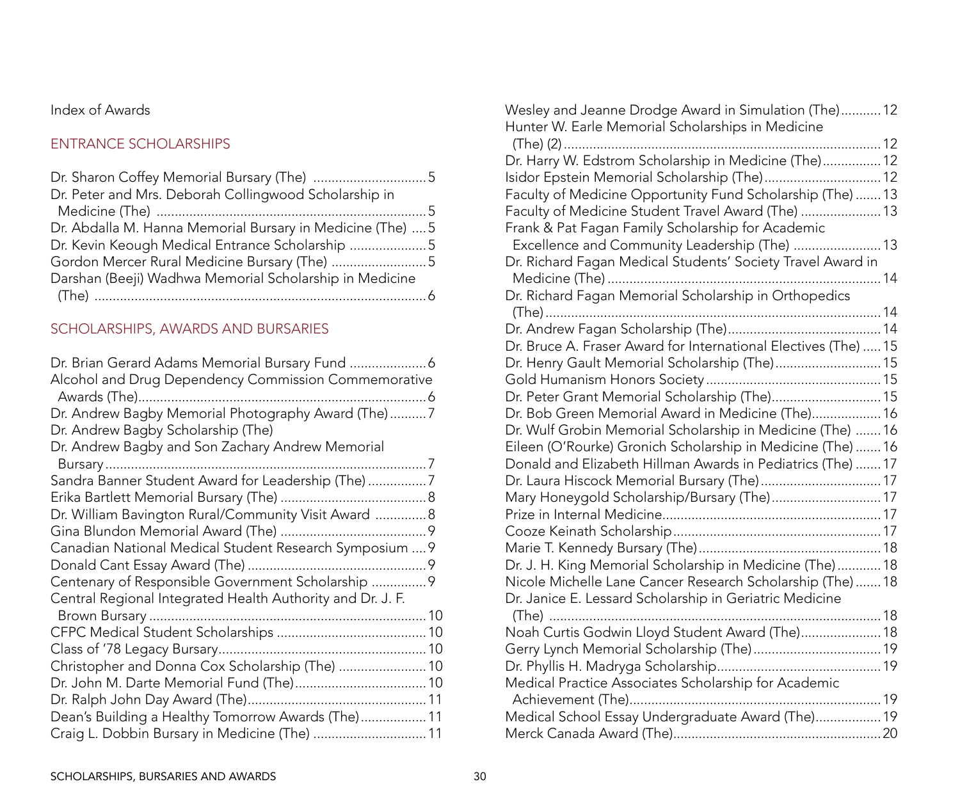### Index of Awards

### ENTRANCE SCHOLARSHIPS

| Dr. Peter and Mrs. Deborah Collingwood Scholarship in      |  |
|------------------------------------------------------------|--|
|                                                            |  |
| Dr. Abdalla M. Hanna Memorial Bursary in Medicine (The)  5 |  |
| Dr. Kevin Keough Medical Entrance Scholarship 5            |  |
| Gordon Mercer Rural Medicine Bursary (The) 5               |  |
| Darshan (Beeji) Wadhwa Memorial Scholarship in Medicine    |  |
|                                                            |  |

### scholarships, awards and bursaries

| Dr. Brian Gerard Adams Memorial Bursary Fund  6            |  |
|------------------------------------------------------------|--|
| Alcohol and Drug Dependency Commission Commemorative       |  |
|                                                            |  |
| Dr. Andrew Bagby Memorial Photography Award (The)7         |  |
| Dr. Andrew Bagby Scholarship (The)                         |  |
| Dr. Andrew Bagby and Son Zachary Andrew Memorial           |  |
|                                                            |  |
| Sandra Banner Student Award for Leadership (The) 7         |  |
|                                                            |  |
| Dr. William Bavington Rural/Community Visit Award  8       |  |
|                                                            |  |
| Canadian National Medical Student Research Symposium  9    |  |
|                                                            |  |
| Centenary of Responsible Government Scholarship  9         |  |
| Central Regional Integrated Health Authority and Dr. J. F. |  |
|                                                            |  |
|                                                            |  |
|                                                            |  |
| Christopher and Donna Cox Scholarship (The)  10            |  |
|                                                            |  |
|                                                            |  |
| Dean's Building a Healthy Tomorrow Awards (The) 11         |  |
| Craig L. Dobbin Bursary in Medicine (The)  11              |  |

| Wesley and Jeanne Drodge Award in Simulation (The) 12           |  |
|-----------------------------------------------------------------|--|
| Hunter W. Earle Memorial Scholarships in Medicine               |  |
|                                                                 |  |
| Dr. Harry W. Edstrom Scholarship in Medicine (The) 12           |  |
| Isidor Epstein Memorial Scholarship (The) 12                    |  |
| Faculty of Medicine Opportunity Fund Scholarship (The)  13      |  |
| Faculty of Medicine Student Travel Award (The)  13              |  |
| Frank & Pat Fagan Family Scholarship for Academic               |  |
| Excellence and Community Leadership (The)  13                   |  |
| Dr. Richard Fagan Medical Students' Society Travel Award in     |  |
|                                                                 |  |
| Dr. Richard Fagan Memorial Scholarship in Orthopedics           |  |
|                                                                 |  |
|                                                                 |  |
| Dr. Bruce A. Fraser Award for International Electives (The)  15 |  |
| Dr. Henry Gault Memorial Scholarship (The) 15                   |  |
|                                                                 |  |
| Dr. Peter Grant Memorial Scholarship (The) 15                   |  |
| Dr. Bob Green Memorial Award in Medicine (The) 16               |  |
| Dr. Wulf Grobin Memorial Scholarship in Medicine (The)  16      |  |
| Eileen (O'Rourke) Gronich Scholarship in Medicine (The)  16     |  |
| Donald and Elizabeth Hillman Awards in Pediatrics (The)  17     |  |
| Dr. Laura Hiscock Memorial Bursary (The) 17                     |  |
| Mary Honeygold Scholarship/Bursary (The) 17                     |  |
|                                                                 |  |
|                                                                 |  |
|                                                                 |  |
| Dr. J. H. King Memorial Scholarship in Medicine (The) 18        |  |
| Nicole Michelle Lane Cancer Research Scholarship (The)  18      |  |
| Dr. Janice E. Lessard Scholarship in Geriatric Medicine         |  |
|                                                                 |  |
| Noah Curtis Godwin Lloyd Student Award (The) 18                 |  |
|                                                                 |  |
|                                                                 |  |
| Medical Practice Associates Scholarship for Academic            |  |
|                                                                 |  |
| Medical School Essay Undergraduate Award (The) 19               |  |
|                                                                 |  |
|                                                                 |  |